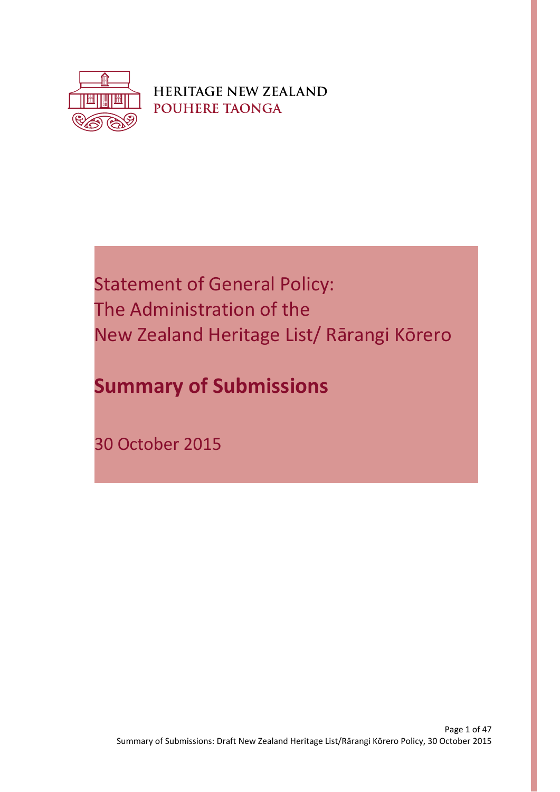

**HERITAGE NEW ZEALAND POUHERE TAONGA** 

# Statement of General Policy: The Administration of the New Zealand Heritage List/ Rārangi Kōrero

# **Summary of Submissions**

30 October 2015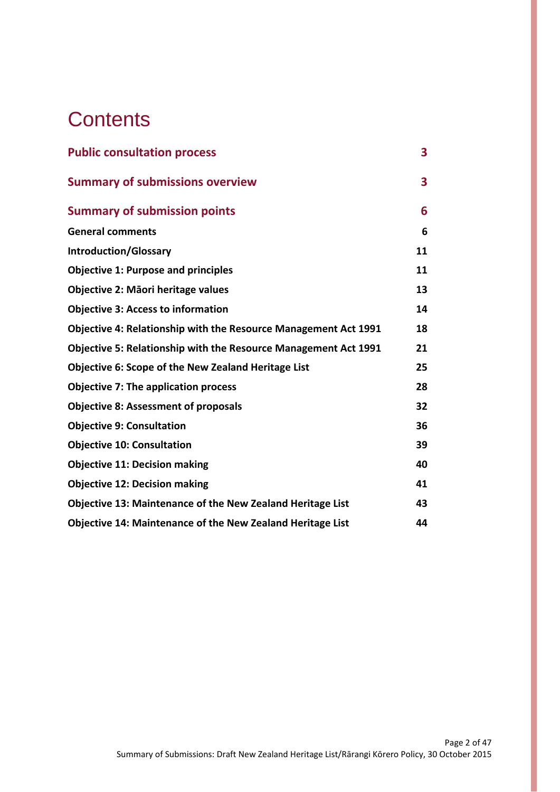# **Contents**

| <b>Public consultation process</b>                                     | 3  |
|------------------------------------------------------------------------|----|
| <b>Summary of submissions overview</b>                                 | 3  |
| <b>Summary of submission points</b>                                    | 6  |
| <b>General comments</b>                                                | 6  |
| <b>Introduction/Glossary</b>                                           | 11 |
| <b>Objective 1: Purpose and principles</b>                             | 11 |
| Objective 2: Māori heritage values                                     | 13 |
| <b>Objective 3: Access to information</b>                              | 14 |
| Objective 4: Relationship with the Resource Management Act 1991        | 18 |
| <b>Objective 5: Relationship with the Resource Management Act 1991</b> | 21 |
| Objective 6: Scope of the New Zealand Heritage List                    | 25 |
| <b>Objective 7: The application process</b>                            | 28 |
| <b>Objective 8: Assessment of proposals</b>                            | 32 |
| <b>Objective 9: Consultation</b>                                       | 36 |
| <b>Objective 10: Consultation</b>                                      | 39 |
| <b>Objective 11: Decision making</b>                                   | 40 |
| <b>Objective 12: Decision making</b>                                   | 41 |
| <b>Objective 13: Maintenance of the New Zealand Heritage List</b>      | 43 |
| <b>Objective 14: Maintenance of the New Zealand Heritage List</b>      | 44 |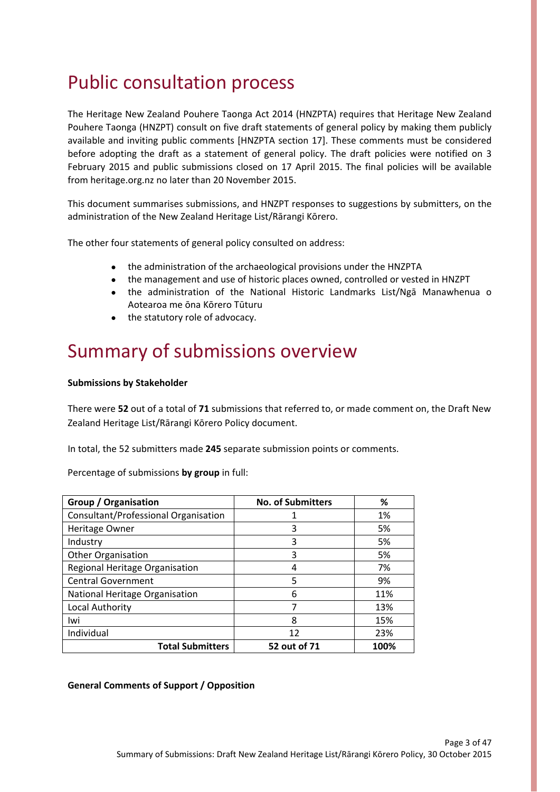# Public consultation process

The Heritage New Zealand Pouhere Taonga Act 2014 (HNZPTA) requires that Heritage New Zealand Pouhere Taonga (HNZPT) consult on five draft statements of general policy by making them publicly available and inviting public comments [HNZPTA section 17]. These comments must be considered before adopting the draft as a statement of general policy. The draft policies were notified on 3 February 2015 and public submissions closed on 17 April 2015. The final policies will be available from heritage.org.nz no later than 20 November 2015.

This document summarises submissions, and HNZPT responses to suggestions by submitters, on the administration of the New Zealand Heritage List/Rārangi Kōrero.

The other four statements of general policy consulted on address:

- the administration of the archaeological provisions under the HNZPTA
- the management and use of historic places owned, controlled or vested in HNZPT
- the administration of the National Historic Landmarks List/Ngā Manawhenua o Aotearoa me ōna Kōrero Tūturu
- the statutory role of advocacy.

## Summary of submissions overview

#### **Submissions by Stakeholder**

There were **52** out of a total of **71** submissions that referred to, or made comment on, the Draft New Zealand Heritage List/Rārangi Kōrero Policy document.

In total, the 52 submitters made **245** separate submission points or comments.

Percentage of submissions **by group** in full:

| Group / Organisation                 | <b>No. of Submitters</b> | ℅    |
|--------------------------------------|--------------------------|------|
| Consultant/Professional Organisation |                          | 1%   |
| Heritage Owner                       | 3                        | 5%   |
| Industry                             | 3                        | 5%   |
| <b>Other Organisation</b>            | 3                        | 5%   |
| Regional Heritage Organisation       | 4                        | 7%   |
| <b>Central Government</b>            | 5                        | 9%   |
| National Heritage Organisation       | 6                        | 11%  |
| Local Authority                      | 7                        | 13%  |
| Iwi                                  | 8                        | 15%  |
| Individual                           | 12                       | 23%  |
| <b>Total Submitters</b>              | 52 out of 71             | 100% |

#### **General Comments of Support / Opposition**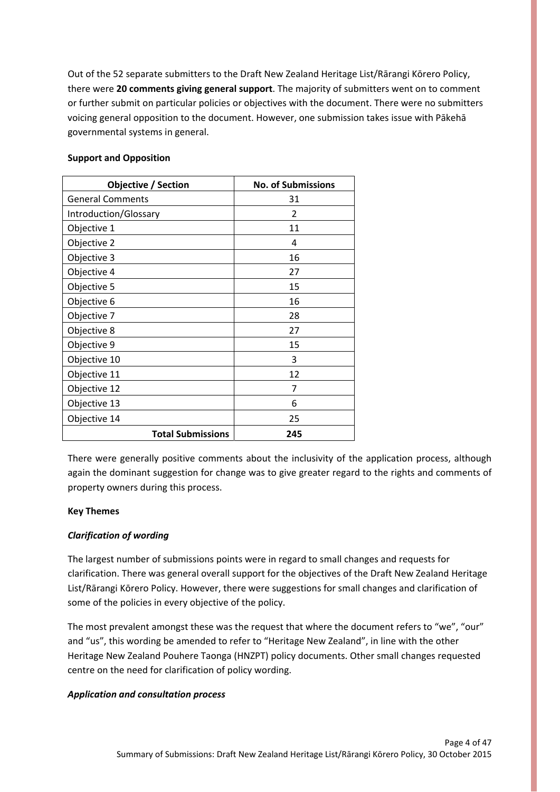Out of the 52 separate submitters to the Draft New Zealand Heritage List/Rārangi Kōrero Policy, there were **20 comments giving general support**. The majority of submitters went on to comment or further submit on particular policies or objectives with the document. There were no submitters voicing general opposition to the document. However, one submission takes issue with Pākehā governmental systems in general.

| <b>Objective / Section</b> | <b>No. of Submissions</b> |
|----------------------------|---------------------------|
| <b>General Comments</b>    | 31                        |
| Introduction/Glossary      | 2                         |
| Objective 1                | 11                        |
| Objective 2                | 4                         |
| Objective 3                | 16                        |
| Objective 4                | 27                        |
| Objective 5                | 15                        |
| Objective 6                | 16                        |
| Objective 7                | 28                        |
| Objective 8                | 27                        |
| Objective 9                | 15                        |
| Objective 10               | 3                         |
| Objective 11               | 12                        |
| Objective 12               | 7                         |
| Objective 13               | 6                         |
| Objective 14               | 25                        |
| <b>Total Submissions</b>   | 245                       |

#### **Support and Opposition**

There were generally positive comments about the inclusivity of the application process, although again the dominant suggestion for change was to give greater regard to the rights and comments of property owners during this process.

#### **Key Themes**

#### *Clarification of wording*

The largest number of submissions points were in regard to small changes and requests for clarification. There was general overall support for the objectives of the Draft New Zealand Heritage List/Rārangi Kōrero Policy. However, there were suggestions for small changes and clarification of some of the policies in every objective of the policy.

The most prevalent amongst these was the request that where the document refers to "we", "our" and "us", this wording be amended to refer to "Heritage New Zealand", in line with the other Heritage New Zealand Pouhere Taonga (HNZPT) policy documents. Other small changes requested centre on the need for clarification of policy wording.

#### *Application and consultation process*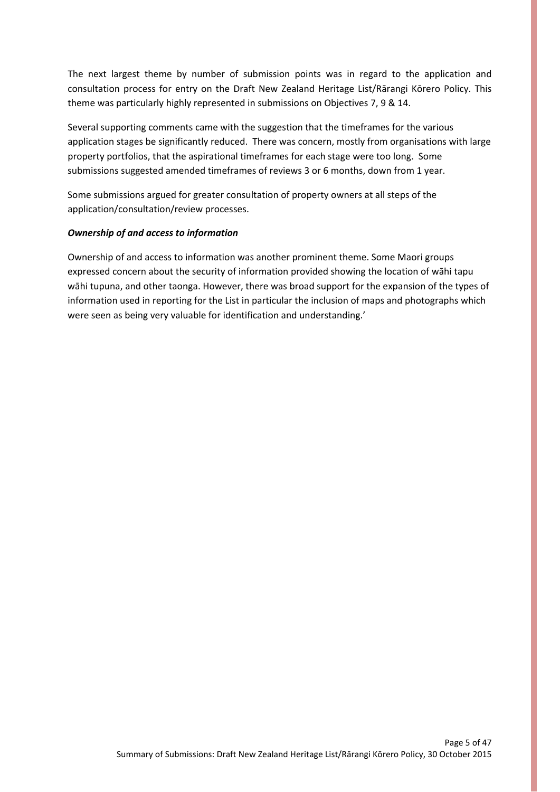The next largest theme by number of submission points was in regard to the application and consultation process for entry on the Draft New Zealand Heritage List/Rārangi Kōrero Policy. This theme was particularly highly represented in submissions on Objectives 7, 9 & 14.

Several supporting comments came with the suggestion that the timeframes for the various application stages be significantly reduced. There was concern, mostly from organisations with large property portfolios, that the aspirational timeframes for each stage were too long. Some submissions suggested amended timeframes of reviews 3 or 6 months, down from 1 year.

Some submissions argued for greater consultation of property owners at all steps of the application/consultation/review processes.

#### *Ownership of and access to information*

Ownership of and access to information was another prominent theme. Some Maori groups expressed concern about the security of information provided showing the location of wāhi tapu wāhi tupuna, and other taonga. However, there was broad support for the expansion of the types of information used in reporting for the List in particular the inclusion of maps and photographs which were seen as being very valuable for identification and understanding.'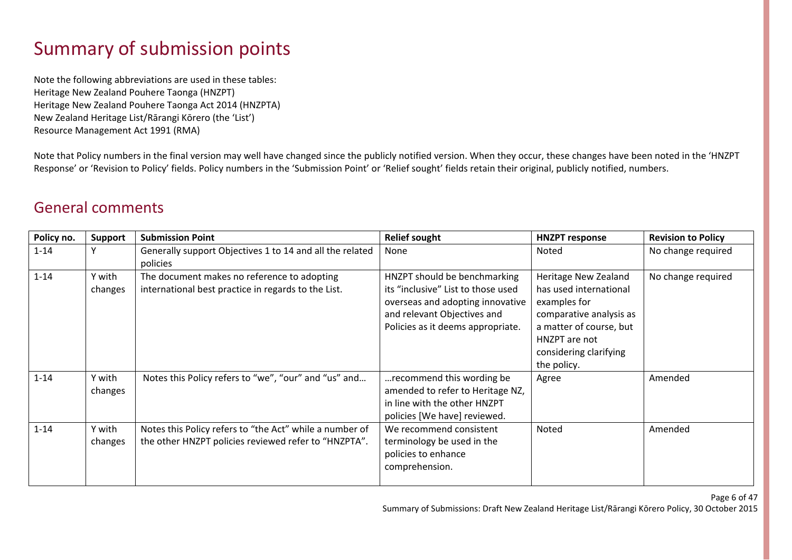# Summary of submission points

Note the following abbreviations are used in these tables: Heritage New Zealand Pouhere Taonga (HNZPT) Heritage New Zealand Pouhere Taonga Act 2014 (HNZPTA) New Zealand Heritage List/Rārangi Kōrero (the 'List') Resource Management Act 1991 (RMA)

Note that Policy numbers in the final version may well have changed since the publicly notified version. When they occur, these changes have been noted in the 'HNZPT Response' or 'Revision to Policy' fields. Policy numbers in the 'Submission Point' or 'Relief sought' fields retain their original, publicly notified, numbers.

#### General comments

| Policy no. | <b>Support</b>    | <b>Submission Point</b>                                                                                         | <b>Relief sought</b>                                                                                                                                                       | <b>HNZPT response</b>                                                                                                                                                          | <b>Revision to Policy</b> |
|------------|-------------------|-----------------------------------------------------------------------------------------------------------------|----------------------------------------------------------------------------------------------------------------------------------------------------------------------------|--------------------------------------------------------------------------------------------------------------------------------------------------------------------------------|---------------------------|
| $1 - 14$   |                   | Generally support Objectives 1 to 14 and all the related<br>policies                                            | None                                                                                                                                                                       | Noted                                                                                                                                                                          | No change required        |
| $1 - 14$   | Y with<br>changes | The document makes no reference to adopting<br>international best practice in regards to the List.              | HNZPT should be benchmarking<br>its "inclusive" List to those used<br>overseas and adopting innovative<br>and relevant Objectives and<br>Policies as it deems appropriate. | Heritage New Zealand<br>has used international<br>examples for<br>comparative analysis as<br>a matter of course, but<br>HNZPT are not<br>considering clarifying<br>the policy. | No change required        |
| $1 - 14$   | Y with<br>changes | Notes this Policy refers to "we", "our" and "us" and                                                            | recommend this wording be<br>amended to refer to Heritage NZ,<br>in line with the other HNZPT<br>policies [We have] reviewed.                                              | Agree                                                                                                                                                                          | Amended                   |
| $1 - 14$   | Y with<br>changes | Notes this Policy refers to "the Act" while a number of<br>the other HNZPT policies reviewed refer to "HNZPTA". | We recommend consistent<br>terminology be used in the<br>policies to enhance<br>comprehension.                                                                             | Noted                                                                                                                                                                          | Amended                   |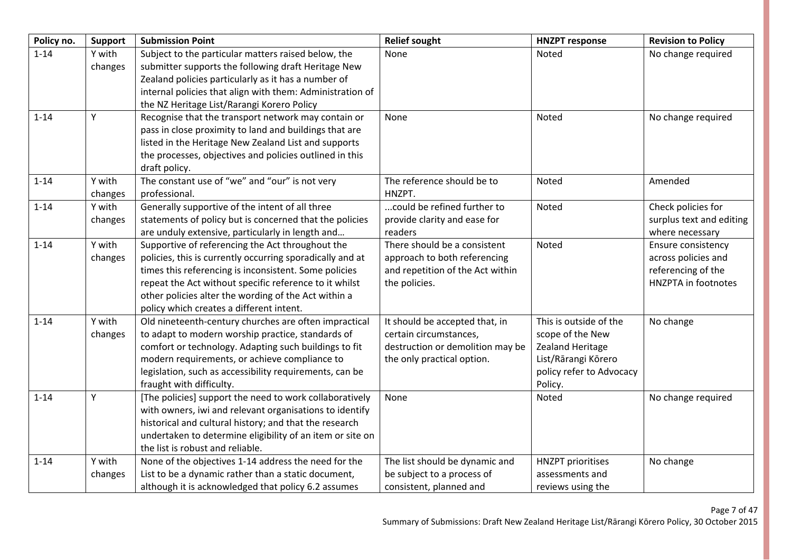| Policy no. | Support           | <b>Submission Point</b>                                                                                                                                                                                                                                                                                                              | <b>Relief sought</b>                                                                                                       | <b>HNZPT response</b>                                                                                                        | <b>Revision to Policy</b>                                                                     |
|------------|-------------------|--------------------------------------------------------------------------------------------------------------------------------------------------------------------------------------------------------------------------------------------------------------------------------------------------------------------------------------|----------------------------------------------------------------------------------------------------------------------------|------------------------------------------------------------------------------------------------------------------------------|-----------------------------------------------------------------------------------------------|
| $1 - 14$   | Y with<br>changes | Subject to the particular matters raised below, the<br>submitter supports the following draft Heritage New<br>Zealand policies particularly as it has a number of<br>internal policies that align with them: Administration of<br>the NZ Heritage List/Rarangi Korero Policy                                                         | None                                                                                                                       | Noted                                                                                                                        | No change required                                                                            |
| $1 - 14$   | Y                 | Recognise that the transport network may contain or<br>pass in close proximity to land and buildings that are<br>listed in the Heritage New Zealand List and supports<br>the processes, objectives and policies outlined in this<br>draft policy.                                                                                    | None                                                                                                                       | Noted                                                                                                                        | No change required                                                                            |
| $1 - 14$   | Y with<br>changes | The constant use of "we" and "our" is not very<br>professional.                                                                                                                                                                                                                                                                      | The reference should be to<br>HNZPT.                                                                                       | Noted                                                                                                                        | Amended                                                                                       |
| $1 - 14$   | Y with<br>changes | Generally supportive of the intent of all three<br>statements of policy but is concerned that the policies<br>are unduly extensive, particularly in length and                                                                                                                                                                       | could be refined further to<br>provide clarity and ease for<br>readers                                                     | Noted                                                                                                                        | Check policies for<br>surplus text and editing<br>where necessary                             |
| $1 - 14$   | Y with<br>changes | Supportive of referencing the Act throughout the<br>policies, this is currently occurring sporadically and at<br>times this referencing is inconsistent. Some policies<br>repeat the Act without specific reference to it whilst<br>other policies alter the wording of the Act within a<br>policy which creates a different intent. | There should be a consistent<br>approach to both referencing<br>and repetition of the Act within<br>the policies.          | Noted                                                                                                                        | Ensure consistency<br>across policies and<br>referencing of the<br><b>HNZPTA</b> in footnotes |
| $1 - 14$   | Y with<br>changes | Old nineteenth-century churches are often impractical<br>to adapt to modern worship practice, standards of<br>comfort or technology. Adapting such buildings to fit<br>modern requirements, or achieve compliance to<br>legislation, such as accessibility requirements, can be<br>fraught with difficulty.                          | It should be accepted that, in<br>certain circumstances,<br>destruction or demolition may be<br>the only practical option. | This is outside of the<br>scope of the New<br>Zealand Heritage<br>List/Rārangi Kōrero<br>policy refer to Advocacy<br>Policy. | No change                                                                                     |
| $1 - 14$   | Υ                 | [The policies] support the need to work collaboratively<br>with owners, iwi and relevant organisations to identify<br>historical and cultural history; and that the research<br>undertaken to determine eligibility of an item or site on<br>the list is robust and reliable.                                                        | None                                                                                                                       | Noted                                                                                                                        | No change required                                                                            |
| $1 - 14$   | Y with<br>changes | None of the objectives 1-14 address the need for the<br>List to be a dynamic rather than a static document,<br>although it is acknowledged that policy 6.2 assumes                                                                                                                                                                   | The list should be dynamic and<br>be subject to a process of<br>consistent, planned and                                    | <b>HNZPT</b> prioritises<br>assessments and<br>reviews using the                                                             | No change                                                                                     |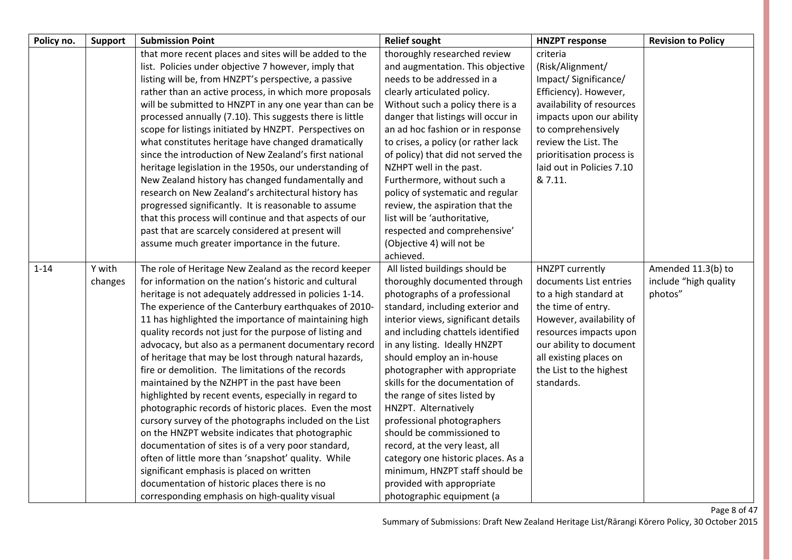| Policy no. | <b>Support</b> | <b>Submission Point</b>                                  | <b>Relief sought</b>                | <b>HNZPT response</b>     | <b>Revision to Policy</b> |
|------------|----------------|----------------------------------------------------------|-------------------------------------|---------------------------|---------------------------|
|            |                | that more recent places and sites will be added to the   | thoroughly researched review        | criteria                  |                           |
|            |                | list. Policies under objective 7 however, imply that     | and augmentation. This objective    | (Risk/Alignment/          |                           |
|            |                | listing will be, from HNZPT's perspective, a passive     | needs to be addressed in a          | Impact/Significance/      |                           |
|            |                | rather than an active process, in which more proposals   | clearly articulated policy.         | Efficiency). However,     |                           |
|            |                | will be submitted to HNZPT in any one year than can be   | Without such a policy there is a    | availability of resources |                           |
|            |                | processed annually (7.10). This suggests there is little | danger that listings will occur in  | impacts upon our ability  |                           |
|            |                | scope for listings initiated by HNZPT. Perspectives on   | an ad hoc fashion or in response    | to comprehensively        |                           |
|            |                | what constitutes heritage have changed dramatically      | to crises, a policy (or rather lack | review the List. The      |                           |
|            |                | since the introduction of New Zealand's first national   | of policy) that did not served the  | prioritisation process is |                           |
|            |                | heritage legislation in the 1950s, our understanding of  | NZHPT well in the past.             | laid out in Policies 7.10 |                           |
|            |                | New Zealand history has changed fundamentally and        | Furthermore, without such a         | & 7.11.                   |                           |
|            |                | research on New Zealand's architectural history has      | policy of systematic and regular    |                           |                           |
|            |                | progressed significantly. It is reasonable to assume     | review, the aspiration that the     |                           |                           |
|            |                | that this process will continue and that aspects of our  | list will be 'authoritative,        |                           |                           |
|            |                | past that are scarcely considered at present will        | respected and comprehensive'        |                           |                           |
|            |                | assume much greater importance in the future.            | (Objective 4) will not be           |                           |                           |
|            |                |                                                          | achieved.                           |                           |                           |
| $1 - 14$   | Y with         | The role of Heritage New Zealand as the record keeper    | All listed buildings should be      | <b>HNZPT</b> currently    | Amended 11.3(b) to        |
|            | changes        | for information on the nation's historic and cultural    | thoroughly documented through       | documents List entries    | include "high quality     |
|            |                | heritage is not adequately addressed in policies 1-14.   | photographs of a professional       | to a high standard at     | photos"                   |
|            |                | The experience of the Canterbury earthquakes of 2010-    | standard, including exterior and    | the time of entry.        |                           |
|            |                | 11 has highlighted the importance of maintaining high    | interior views, significant details | However, availability of  |                           |
|            |                | quality records not just for the purpose of listing and  | and including chattels identified   | resources impacts upon    |                           |
|            |                | advocacy, but also as a permanent documentary record     | in any listing. Ideally HNZPT       | our ability to document   |                           |
|            |                | of heritage that may be lost through natural hazards,    | should employ an in-house           | all existing places on    |                           |
|            |                | fire or demolition. The limitations of the records       | photographer with appropriate       | the List to the highest   |                           |
|            |                | maintained by the NZHPT in the past have been            | skills for the documentation of     | standards.                |                           |
|            |                | highlighted by recent events, especially in regard to    | the range of sites listed by        |                           |                           |
|            |                | photographic records of historic places. Even the most   | HNZPT. Alternatively                |                           |                           |
|            |                | cursory survey of the photographs included on the List   | professional photographers          |                           |                           |
|            |                | on the HNZPT website indicates that photographic         | should be commissioned to           |                           |                           |
|            |                | documentation of sites is of a very poor standard,       | record, at the very least, all      |                           |                           |
|            |                | often of little more than 'snapshot' quality. While      | category one historic places. As a  |                           |                           |
|            |                | significant emphasis is placed on written                | minimum, HNZPT staff should be      |                           |                           |
|            |                | documentation of historic places there is no             | provided with appropriate           |                           |                           |
|            |                | corresponding emphasis on high-quality visual            | photographic equipment (a           |                           |                           |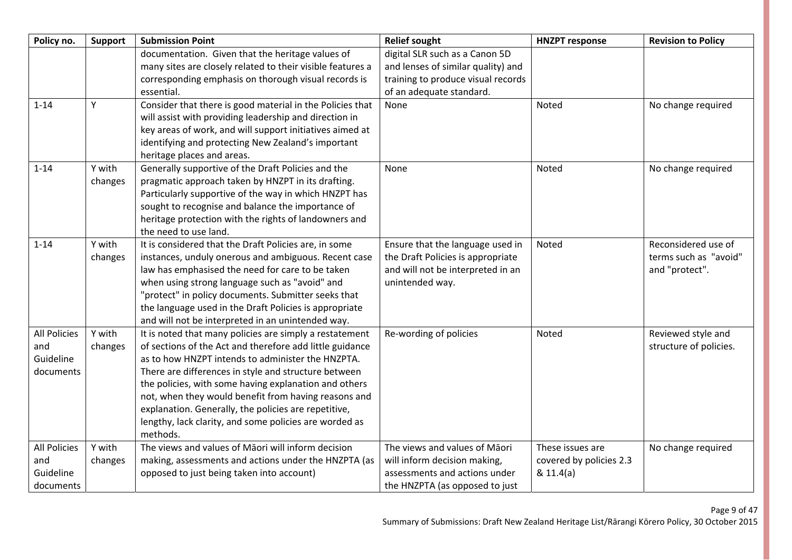| Policy no.                                           | Support           | <b>Submission Point</b>                                                                                                                                                                                                                                                                                                                                                                                                                                                         | <b>Relief sought</b>                                                                                                             | <b>HNZPT response</b>                                    | <b>Revision to Policy</b>                                      |
|------------------------------------------------------|-------------------|---------------------------------------------------------------------------------------------------------------------------------------------------------------------------------------------------------------------------------------------------------------------------------------------------------------------------------------------------------------------------------------------------------------------------------------------------------------------------------|----------------------------------------------------------------------------------------------------------------------------------|----------------------------------------------------------|----------------------------------------------------------------|
|                                                      |                   | documentation. Given that the heritage values of                                                                                                                                                                                                                                                                                                                                                                                                                                | digital SLR such as a Canon 5D                                                                                                   |                                                          |                                                                |
|                                                      |                   | many sites are closely related to their visible features a                                                                                                                                                                                                                                                                                                                                                                                                                      | and lenses of similar quality) and                                                                                               |                                                          |                                                                |
|                                                      |                   | corresponding emphasis on thorough visual records is                                                                                                                                                                                                                                                                                                                                                                                                                            | training to produce visual records                                                                                               |                                                          |                                                                |
|                                                      |                   | essential.                                                                                                                                                                                                                                                                                                                                                                                                                                                                      | of an adequate standard.                                                                                                         |                                                          |                                                                |
| $1 - 14$                                             | Υ                 | Consider that there is good material in the Policies that<br>will assist with providing leadership and direction in<br>key areas of work, and will support initiatives aimed at                                                                                                                                                                                                                                                                                                 | None                                                                                                                             | Noted                                                    | No change required                                             |
|                                                      |                   | identifying and protecting New Zealand's important                                                                                                                                                                                                                                                                                                                                                                                                                              |                                                                                                                                  |                                                          |                                                                |
|                                                      |                   | heritage places and areas.                                                                                                                                                                                                                                                                                                                                                                                                                                                      |                                                                                                                                  |                                                          |                                                                |
| $1 - 14$                                             | Y with<br>changes | Generally supportive of the Draft Policies and the<br>pragmatic approach taken by HNZPT in its drafting.<br>Particularly supportive of the way in which HNZPT has<br>sought to recognise and balance the importance of<br>heritage protection with the rights of landowners and<br>the need to use land.                                                                                                                                                                        | None                                                                                                                             | Noted                                                    | No change required                                             |
| $1 - 14$                                             | Y with<br>changes | It is considered that the Draft Policies are, in some<br>instances, unduly onerous and ambiguous. Recent case<br>law has emphasised the need for care to be taken<br>when using strong language such as "avoid" and<br>"protect" in policy documents. Submitter seeks that<br>the language used in the Draft Policies is appropriate<br>and will not be interpreted in an unintended way.                                                                                       | Ensure that the language used in<br>the Draft Policies is appropriate<br>and will not be interpreted in an<br>unintended way.    | Noted                                                    | Reconsidered use of<br>terms such as "avoid"<br>and "protect". |
| <b>All Policies</b><br>and<br>Guideline<br>documents | Y with<br>changes | It is noted that many policies are simply a restatement<br>of sections of the Act and therefore add little guidance<br>as to how HNZPT intends to administer the HNZPTA.<br>There are differences in style and structure between<br>the policies, with some having explanation and others<br>not, when they would benefit from having reasons and<br>explanation. Generally, the policies are repetitive,<br>lengthy, lack clarity, and some policies are worded as<br>methods. | Re-wording of policies                                                                                                           | Noted                                                    | Reviewed style and<br>structure of policies.                   |
| <b>All Policies</b><br>and<br>Guideline<br>documents | Y with<br>changes | The views and values of Māori will inform decision<br>making, assessments and actions under the HNZPTA (as<br>opposed to just being taken into account)                                                                                                                                                                                                                                                                                                                         | The views and values of Māori<br>will inform decision making,<br>assessments and actions under<br>the HNZPTA (as opposed to just | These issues are<br>covered by policies 2.3<br>& 11.4(a) | No change required                                             |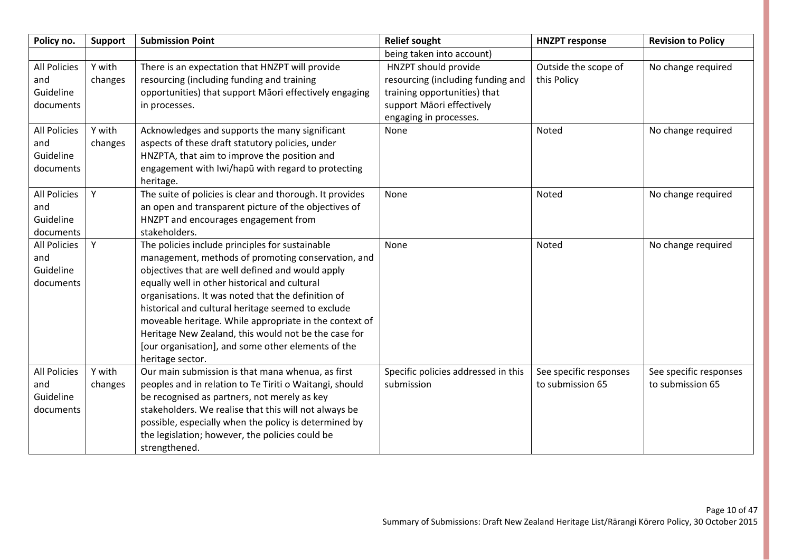| Policy no.                                           | <b>Support</b>    | <b>Submission Point</b>                                                                                                                                                                                                                                                                                                                                                                                                                                                                                            | <b>Relief sought</b>                                                                                                                             | <b>HNZPT response</b>                      | <b>Revision to Policy</b>                  |
|------------------------------------------------------|-------------------|--------------------------------------------------------------------------------------------------------------------------------------------------------------------------------------------------------------------------------------------------------------------------------------------------------------------------------------------------------------------------------------------------------------------------------------------------------------------------------------------------------------------|--------------------------------------------------------------------------------------------------------------------------------------------------|--------------------------------------------|--------------------------------------------|
|                                                      |                   |                                                                                                                                                                                                                                                                                                                                                                                                                                                                                                                    | being taken into account)                                                                                                                        |                                            |                                            |
| <b>All Policies</b><br>and<br>Guideline<br>documents | Y with<br>changes | There is an expectation that HNZPT will provide<br>resourcing (including funding and training<br>opportunities) that support Māori effectively engaging<br>in processes.                                                                                                                                                                                                                                                                                                                                           | HNZPT should provide<br>resourcing (including funding and<br>training opportunities) that<br>support Māori effectively<br>engaging in processes. | Outside the scope of<br>this Policy        | No change required                         |
| <b>All Policies</b><br>and<br>Guideline<br>documents | Y with<br>changes | Acknowledges and supports the many significant<br>aspects of these draft statutory policies, under<br>HNZPTA, that aim to improve the position and<br>engagement with Iwi/hapū with regard to protecting<br>heritage.                                                                                                                                                                                                                                                                                              | None                                                                                                                                             | Noted                                      | No change required                         |
| <b>All Policies</b><br>and<br>Guideline<br>documents | Y                 | The suite of policies is clear and thorough. It provides<br>an open and transparent picture of the objectives of<br>HNZPT and encourages engagement from<br>stakeholders.                                                                                                                                                                                                                                                                                                                                          | None                                                                                                                                             | Noted                                      | No change required                         |
| <b>All Policies</b><br>and<br>Guideline<br>documents | Y                 | The policies include principles for sustainable<br>management, methods of promoting conservation, and<br>objectives that are well defined and would apply<br>equally well in other historical and cultural<br>organisations. It was noted that the definition of<br>historical and cultural heritage seemed to exclude<br>moveable heritage. While appropriate in the context of<br>Heritage New Zealand, this would not be the case for<br>[our organisation], and some other elements of the<br>heritage sector. | None                                                                                                                                             | Noted                                      | No change required                         |
| <b>All Policies</b><br>and<br>Guideline<br>documents | Y with<br>changes | Our main submission is that mana whenua, as first<br>peoples and in relation to Te Tiriti o Waitangi, should<br>be recognised as partners, not merely as key<br>stakeholders. We realise that this will not always be<br>possible, especially when the policy is determined by<br>the legislation; however, the policies could be<br>strengthened.                                                                                                                                                                 | Specific policies addressed in this<br>submission                                                                                                | See specific responses<br>to submission 65 | See specific responses<br>to submission 65 |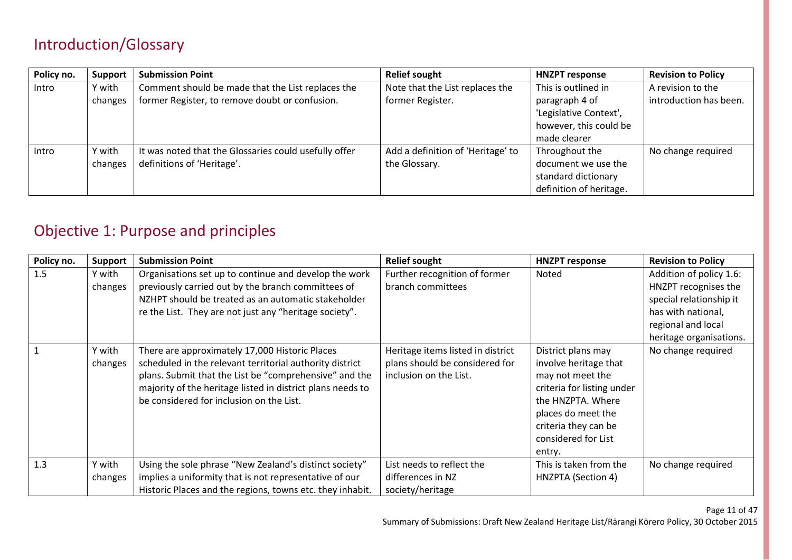### Introduction/Glossary

| Policy no. | <b>Support</b> | <b>Submission Point</b>                               | <b>Relief sought</b>              | <b>HNZPT response</b>   | <b>Revision to Policy</b> |
|------------|----------------|-------------------------------------------------------|-----------------------------------|-------------------------|---------------------------|
| Intro      | Y with         | Comment should be made that the List replaces the     | Note that the List replaces the   | This is outlined in     | A revision to the         |
|            | changes        | former Register, to remove doubt or confusion.        | former Register.                  | paragraph 4 of          | introduction has been.    |
|            |                |                                                       |                                   | 'Legislative Context',  |                           |
|            |                |                                                       |                                   | however, this could be  |                           |
|            |                |                                                       |                                   | made clearer            |                           |
| Intro      | Y with         | It was noted that the Glossaries could usefully offer | Add a definition of 'Heritage' to | Throughout the          | No change required        |
|            | changes        | definitions of 'Heritage'.                            | the Glossary.                     | document we use the     |                           |
|            |                |                                                       |                                   | standard dictionary     |                           |
|            |                |                                                       |                                   | definition of heritage. |                           |

### Objective 1: Purpose and principles

| Policy no. | Support           | <b>Submission Point</b>                                                                                                                                                                                                                                                        | <b>Relief sought</b>                                                                          | <b>HNZPT response</b>                                                                                                                                                                             | <b>Revision to Policy</b>                                                                                                                         |
|------------|-------------------|--------------------------------------------------------------------------------------------------------------------------------------------------------------------------------------------------------------------------------------------------------------------------------|-----------------------------------------------------------------------------------------------|---------------------------------------------------------------------------------------------------------------------------------------------------------------------------------------------------|---------------------------------------------------------------------------------------------------------------------------------------------------|
| 1.5        | Y with<br>changes | Organisations set up to continue and develop the work<br>previously carried out by the branch committees of<br>NZHPT should be treated as an automatic stakeholder<br>re the List. They are not just any "heritage society".                                                   | Further recognition of former<br>branch committees                                            | Noted                                                                                                                                                                                             | Addition of policy 1.6:<br>HNZPT recognises the<br>special relationship it<br>has with national,<br>regional and local<br>heritage organisations. |
|            | Y with<br>changes | There are approximately 17,000 Historic Places<br>scheduled in the relevant territorial authority district<br>plans. Submit that the List be "comprehensive" and the<br>majority of the heritage listed in district plans needs to<br>be considered for inclusion on the List. | Heritage items listed in district<br>plans should be considered for<br>inclusion on the List. | District plans may<br>involve heritage that<br>may not meet the<br>criteria for listing under<br>the HNZPTA. Where<br>places do meet the<br>criteria they can be<br>considered for List<br>entry. | No change required                                                                                                                                |
| 1.3        | Y with<br>changes | Using the sole phrase "New Zealand's distinct society"<br>implies a uniformity that is not representative of our<br>Historic Places and the regions, towns etc. they inhabit.                                                                                                  | List needs to reflect the<br>differences in NZ<br>society/heritage                            | This is taken from the<br>HNZPTA (Section 4)                                                                                                                                                      | No change required                                                                                                                                |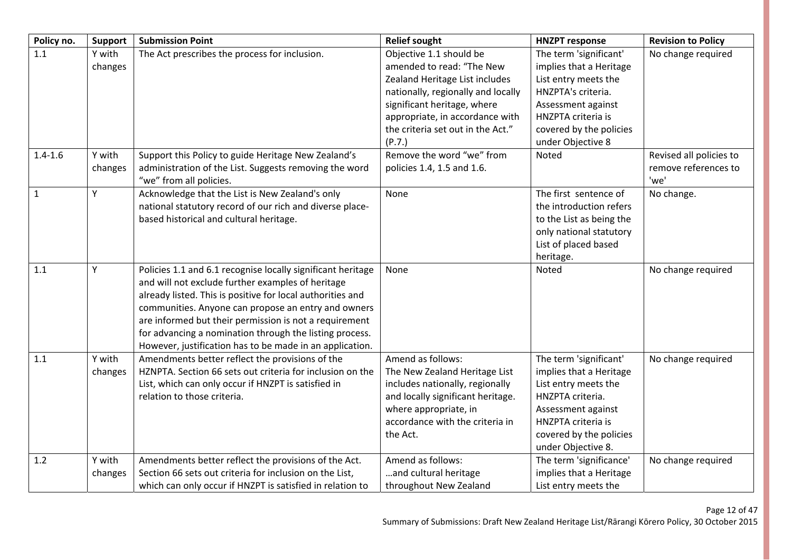| Policy no.   | Support           | <b>Submission Point</b>                                                                                                                                                                                                                                                                                                                                                                                                | <b>Relief sought</b>                                                                                                                                                                                                                          | <b>HNZPT response</b>                                                                                                                                                                       | <b>Revision to Policy</b>                               |
|--------------|-------------------|------------------------------------------------------------------------------------------------------------------------------------------------------------------------------------------------------------------------------------------------------------------------------------------------------------------------------------------------------------------------------------------------------------------------|-----------------------------------------------------------------------------------------------------------------------------------------------------------------------------------------------------------------------------------------------|---------------------------------------------------------------------------------------------------------------------------------------------------------------------------------------------|---------------------------------------------------------|
| 1.1          | Y with<br>changes | The Act prescribes the process for inclusion.                                                                                                                                                                                                                                                                                                                                                                          | Objective 1.1 should be<br>amended to read: "The New<br>Zealand Heritage List includes<br>nationally, regionally and locally<br>significant heritage, where<br>appropriate, in accordance with<br>the criteria set out in the Act."<br>(P.7.) | The term 'significant'<br>implies that a Heritage<br>List entry meets the<br>HNZPTA's criteria.<br>Assessment against<br>HNZPTA criteria is<br>covered by the policies<br>under Objective 8 | No change required                                      |
| $1.4 - 1.6$  | Y with<br>changes | Support this Policy to guide Heritage New Zealand's<br>administration of the List. Suggests removing the word<br>"we" from all policies.                                                                                                                                                                                                                                                                               | Remove the word "we" from<br>policies 1.4, 1.5 and 1.6.                                                                                                                                                                                       | Noted                                                                                                                                                                                       | Revised all policies to<br>remove references to<br>'we' |
| $\mathbf{1}$ | Y                 | Acknowledge that the List is New Zealand's only<br>national statutory record of our rich and diverse place-<br>based historical and cultural heritage.                                                                                                                                                                                                                                                                 | None                                                                                                                                                                                                                                          | The first sentence of<br>the introduction refers<br>to the List as being the<br>only national statutory<br>List of placed based<br>heritage.                                                | No change.                                              |
| 1.1          | Υ                 | Policies 1.1 and 6.1 recognise locally significant heritage<br>and will not exclude further examples of heritage<br>already listed. This is positive for local authorities and<br>communities. Anyone can propose an entry and owners<br>are informed but their permission is not a requirement<br>for advancing a nomination through the listing process.<br>However, justification has to be made in an application. | None                                                                                                                                                                                                                                          | Noted                                                                                                                                                                                       | No change required                                      |
| 1.1          | Y with<br>changes | Amendments better reflect the provisions of the<br>HZNPTA. Section 66 sets out criteria for inclusion on the<br>List, which can only occur if HNZPT is satisfied in<br>relation to those criteria.                                                                                                                                                                                                                     | Amend as follows:<br>The New Zealand Heritage List<br>includes nationally, regionally<br>and locally significant heritage.<br>where appropriate, in<br>accordance with the criteria in<br>the Act.                                            | The term 'significant'<br>implies that a Heritage<br>List entry meets the<br>HNZPTA criteria.<br>Assessment against<br>HNZPTA criteria is<br>covered by the policies<br>under Objective 8.  | No change required                                      |
| 1.2          | Y with<br>changes | Amendments better reflect the provisions of the Act.<br>Section 66 sets out criteria for inclusion on the List,<br>which can only occur if HNZPT is satisfied in relation to                                                                                                                                                                                                                                           | Amend as follows:<br>and cultural heritage<br>throughout New Zealand                                                                                                                                                                          | The term 'significance'<br>implies that a Heritage<br>List entry meets the                                                                                                                  | No change required                                      |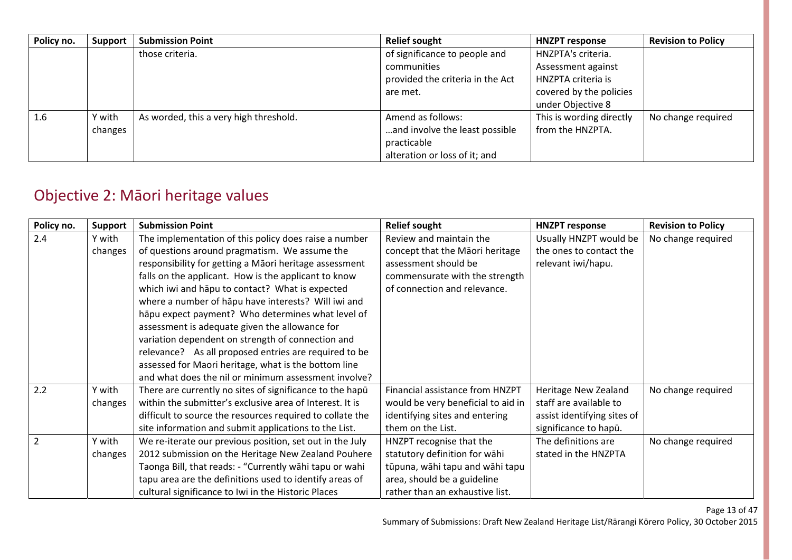| Policy no. | Support | <b>Submission Point</b>                | <b>Relief sought</b>             | <b>HNZPT response</b>    | <b>Revision to Policy</b> |
|------------|---------|----------------------------------------|----------------------------------|--------------------------|---------------------------|
|            |         | those criteria.                        | of significance to people and    | HNZPTA's criteria.       |                           |
|            |         |                                        | communities                      | Assessment against       |                           |
|            |         |                                        | provided the criteria in the Act | HNZPTA criteria is       |                           |
|            |         |                                        | are met.                         | covered by the policies  |                           |
|            |         |                                        |                                  | under Objective 8        |                           |
| 1.6        | Y with  | As worded, this a very high threshold. | Amend as follows:                | This is wording directly | No change required        |
|            | changes |                                        | and involve the least possible   | from the HNZPTA.         |                           |
|            |         |                                        | practicable                      |                          |                           |
|            |         |                                        | alteration or loss of it; and    |                          |                           |

## Objective 2: Māori heritage values

| Policy no.     | Support | <b>Submission Point</b>                                   | <b>Relief sought</b>               | <b>HNZPT response</b>       | <b>Revision to Policy</b> |
|----------------|---------|-----------------------------------------------------------|------------------------------------|-----------------------------|---------------------------|
| 2.4            | Y with  | The implementation of this policy does raise a number     | Review and maintain the            | Usually HNZPT would be      | No change required        |
|                | changes | of questions around pragmatism. We assume the             | concept that the Māori heritage    | the ones to contact the     |                           |
|                |         | responsibility for getting a Māori heritage assessment    | assessment should be               | relevant iwi/hapu.          |                           |
|                |         | falls on the applicant. How is the applicant to know      | commensurate with the strength     |                             |                           |
|                |         | which iwi and hapu to contact? What is expected           | of connection and relevance.       |                             |                           |
|                |         | where a number of hapu have interests? Will iwi and       |                                    |                             |                           |
|                |         | hāpu expect payment? Who determines what level of         |                                    |                             |                           |
|                |         | assessment is adequate given the allowance for            |                                    |                             |                           |
|                |         | variation dependent on strength of connection and         |                                    |                             |                           |
|                |         | relevance? As all proposed entries are required to be     |                                    |                             |                           |
|                |         | assessed for Maori heritage, what is the bottom line      |                                    |                             |                           |
|                |         | and what does the nil or minimum assessment involve?      |                                    |                             |                           |
| 2.2            | Y with  | There are currently no sites of significance to the hapū  | Financial assistance from HNZPT    | Heritage New Zealand        | No change required        |
|                | changes | within the submitter's exclusive area of Interest. It is  | would be very beneficial to aid in | staff are available to      |                           |
|                |         | difficult to source the resources required to collate the | identifying sites and entering     | assist identifying sites of |                           |
|                |         | site information and submit applications to the List.     | them on the List.                  | significance to hapū.       |                           |
| $\overline{2}$ | Y with  | We re-iterate our previous position, set out in the July  | HNZPT recognise that the           | The definitions are         | No change required        |
|                | changes | 2012 submission on the Heritage New Zealand Pouhere       | statutory definition for wāhi      | stated in the HNZPTA        |                           |
|                |         | Taonga Bill, that reads: - "Currently wāhi tapu or wahi   | tūpuna, wāhi tapu and wāhi tapu    |                             |                           |
|                |         | tapu area are the definitions used to identify areas of   | area, should be a guideline        |                             |                           |
|                |         | cultural significance to Iwi in the Historic Places       | rather than an exhaustive list.    |                             |                           |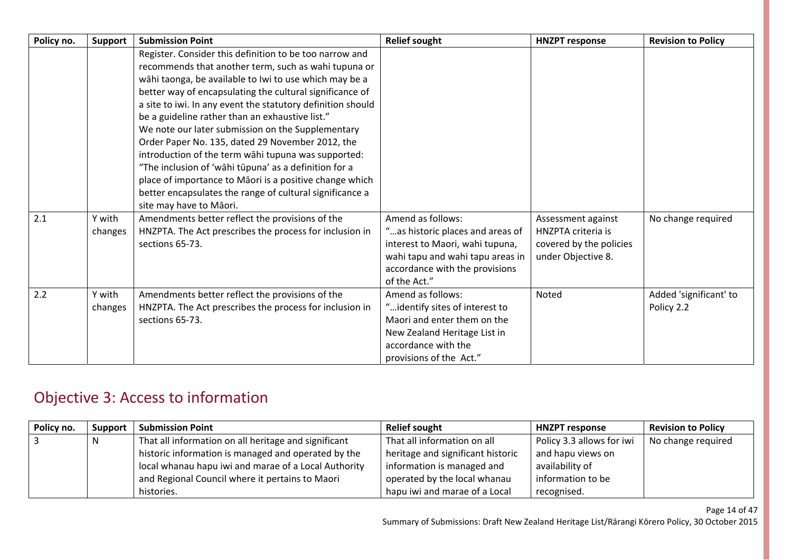| Policy no. | Support           | <b>Submission Point</b>                                                                                                                                                                                                                                                                                                                                                                                                                                          | <b>Relief sought</b>                                                                                                                                                           | <b>HNZPT response</b>                                                                     | <b>Revision to Policy</b>            |
|------------|-------------------|------------------------------------------------------------------------------------------------------------------------------------------------------------------------------------------------------------------------------------------------------------------------------------------------------------------------------------------------------------------------------------------------------------------------------------------------------------------|--------------------------------------------------------------------------------------------------------------------------------------------------------------------------------|-------------------------------------------------------------------------------------------|--------------------------------------|
|            |                   | Register. Consider this definition to be too narrow and<br>recommends that another term, such as wahi tupuna or<br>wāhi taonga, be available to Iwi to use which may be a<br>better way of encapsulating the cultural significance of<br>a site to iwi. In any event the statutory definition should<br>be a guideline rather than an exhaustive list."<br>We note our later submission on the Supplementary<br>Order Paper No. 135, dated 29 November 2012, the |                                                                                                                                                                                |                                                                                           |                                      |
|            |                   | introduction of the term wāhi tupuna was supported:<br>"The inclusion of 'wāhi tūpuna' as a definition for a<br>place of importance to Māori is a positive change which<br>better encapsulates the range of cultural significance a<br>site may have to Māori.                                                                                                                                                                                                   |                                                                                                                                                                                |                                                                                           |                                      |
| 2.1        | Y with<br>changes | Amendments better reflect the provisions of the<br>HNZPTA. The Act prescribes the process for inclusion in<br>sections 65-73.                                                                                                                                                                                                                                                                                                                                    | Amend as follows:<br>"as historic places and areas of<br>interest to Maori, wahi tupuna,<br>wahi tapu and wahi tapu areas in<br>accordance with the provisions<br>of the Act." | Assessment against<br>HNZPTA criteria is<br>covered by the policies<br>under Objective 8. | No change required                   |
| 2.2        | Y with<br>changes | Amendments better reflect the provisions of the<br>HNZPTA. The Act prescribes the process for inclusion in<br>sections 65-73.                                                                                                                                                                                                                                                                                                                                    | Amend as follows:<br>"identify sites of interest to<br>Maori and enter them on the<br>New Zealand Heritage List in<br>accordance with the<br>provisions of the Act."           | Noted                                                                                     | Added 'significant' to<br>Policy 2.2 |

## Objective 3: Access to information

| Policy no. | <b>Support</b> | <b>Submission Point</b>                              | <b>Relief sought</b>              | <b>HNZPT response</b>     | <b>Revision to Policy</b> |
|------------|----------------|------------------------------------------------------|-----------------------------------|---------------------------|---------------------------|
| l 3        |                | That all information on all heritage and significant | That all information on all       | Policy 3.3 allows for iwi | No change required        |
|            |                | historic information is managed and operated by the  | heritage and significant historic | and hapu views on         |                           |
|            |                | local whanau hapu iwi and marae of a Local Authority | information is managed and        | availability of           |                           |
|            |                | and Regional Council where it pertains to Maori      | operated by the local whanau      | information to be         |                           |
|            |                | histories.                                           | hapu iwi and marae of a Local     | recognised.               |                           |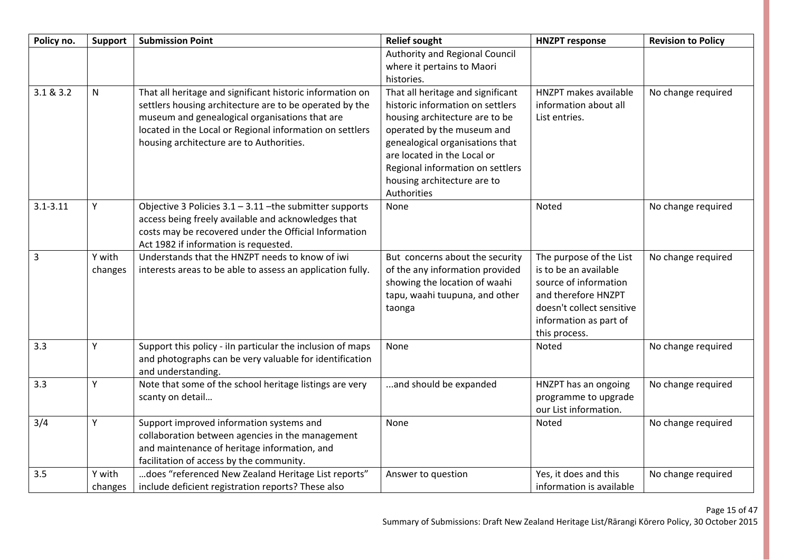| Policy no.   | Support | <b>Submission Point</b>                                                                                          | <b>Relief sought</b>                                            | <b>HNZPT response</b>                                                 | <b>Revision to Policy</b> |
|--------------|---------|------------------------------------------------------------------------------------------------------------------|-----------------------------------------------------------------|-----------------------------------------------------------------------|---------------------------|
|              |         |                                                                                                                  | Authority and Regional Council                                  |                                                                       |                           |
|              |         |                                                                                                                  | where it pertains to Maori                                      |                                                                       |                           |
|              |         |                                                                                                                  | histories.                                                      |                                                                       |                           |
| 3.1 & 8.3.2  | N       | That all heritage and significant historic information on                                                        | That all heritage and significant                               | HNZPT makes available                                                 | No change required        |
|              |         | settlers housing architecture are to be operated by the                                                          | historic information on settlers                                | information about all                                                 |                           |
|              |         | museum and genealogical organisations that are                                                                   | housing architecture are to be                                  | List entries.                                                         |                           |
|              |         | located in the Local or Regional information on settlers                                                         | operated by the museum and                                      |                                                                       |                           |
|              |         | housing architecture are to Authorities.                                                                         | genealogical organisations that<br>are located in the Local or  |                                                                       |                           |
|              |         |                                                                                                                  | Regional information on settlers                                |                                                                       |                           |
|              |         |                                                                                                                  | housing architecture are to                                     |                                                                       |                           |
|              |         |                                                                                                                  | Authorities                                                     |                                                                       |                           |
| $3.1 - 3.11$ | Υ       | Objective 3 Policies $3.1 - 3.11$ -the submitter supports<br>access being freely available and acknowledges that | None                                                            | Noted                                                                 | No change required        |
|              |         | costs may be recovered under the Official Information                                                            |                                                                 |                                                                       |                           |
|              |         | Act 1982 if information is requested.                                                                            |                                                                 |                                                                       |                           |
| 3            | Y with  | Understands that the HNZPT needs to know of iwi                                                                  | But concerns about the security                                 | The purpose of the List                                               | No change required        |
|              | changes | interests areas to be able to assess an application fully.                                                       | of the any information provided                                 | is to be an available<br>source of information                        |                           |
|              |         |                                                                                                                  | showing the location of waahi<br>tapu, waahi tuupuna, and other | and therefore HNZPT                                                   |                           |
|              |         |                                                                                                                  | taonga                                                          | doesn't collect sensitive                                             |                           |
|              |         |                                                                                                                  |                                                                 | information as part of                                                |                           |
|              |         |                                                                                                                  |                                                                 | this process.                                                         |                           |
| 3.3          | Υ       | Support this policy - iln particular the inclusion of maps                                                       | None                                                            | Noted                                                                 | No change required        |
|              |         | and photographs can be very valuable for identification<br>and understanding.                                    |                                                                 |                                                                       |                           |
| 3.3          | Υ       | Note that some of the school heritage listings are very<br>scanty on detail                                      | and should be expanded                                          | HNZPT has an ongoing<br>programme to upgrade<br>our List information. | No change required        |
| 3/4          | Υ       | Support improved information systems and                                                                         | None                                                            | Noted                                                                 | No change required        |
|              |         | collaboration between agencies in the management                                                                 |                                                                 |                                                                       |                           |
|              |         | and maintenance of heritage information, and                                                                     |                                                                 |                                                                       |                           |
|              |         | facilitation of access by the community.                                                                         |                                                                 |                                                                       |                           |
| 3.5          | Y with  | does "referenced New Zealand Heritage List reports"                                                              | Answer to question                                              | Yes, it does and this                                                 | No change required        |
|              | changes | include deficient registration reports? These also                                                               |                                                                 | information is available                                              |                           |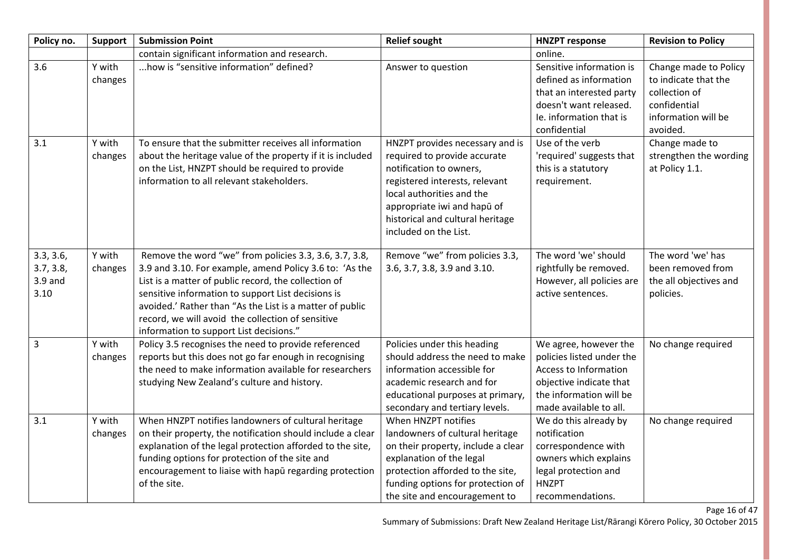| Policy no.                                  | <b>Support</b>              | <b>Submission Point</b>                                                                                                                                                                                                                                                                                                                                                                     | <b>Relief sought</b>                                                                                                                                                                                                               | <b>HNZPT response</b>                                                                                                                                                  | <b>Revision to Policy</b>                                                                                                           |
|---------------------------------------------|-----------------------------|---------------------------------------------------------------------------------------------------------------------------------------------------------------------------------------------------------------------------------------------------------------------------------------------------------------------------------------------------------------------------------------------|------------------------------------------------------------------------------------------------------------------------------------------------------------------------------------------------------------------------------------|------------------------------------------------------------------------------------------------------------------------------------------------------------------------|-------------------------------------------------------------------------------------------------------------------------------------|
|                                             |                             | contain significant information and research.                                                                                                                                                                                                                                                                                                                                               |                                                                                                                                                                                                                                    | online.                                                                                                                                                                |                                                                                                                                     |
| 3.6<br>3.1                                  | Y with<br>changes<br>Y with | how is "sensitive information" defined?<br>To ensure that the submitter receives all information                                                                                                                                                                                                                                                                                            | Answer to question<br>HNZPT provides necessary and is                                                                                                                                                                              | Sensitive information is<br>defined as information<br>that an interested party<br>doesn't want released.<br>Ie. information that is<br>confidential<br>Use of the verb | Change made to Policy<br>to indicate that the<br>collection of<br>confidential<br>information will be<br>avoided.<br>Change made to |
|                                             | changes                     | about the heritage value of the property if it is included<br>on the List, HNZPT should be required to provide<br>information to all relevant stakeholders.                                                                                                                                                                                                                                 | required to provide accurate<br>notification to owners,<br>registered interests, relevant<br>local authorities and the<br>appropriate iwi and hapū of<br>historical and cultural heritage<br>included on the List.                 | 'required' suggests that<br>this is a statutory<br>requirement.                                                                                                        | strengthen the wording<br>at Policy 1.1.                                                                                            |
| 3.3, 3.6,<br>3.7, 3.8,<br>$3.9$ and<br>3.10 | Y with<br>changes           | Remove the word "we" from policies 3.3, 3.6, 3.7, 3.8,<br>3.9 and 3.10. For example, amend Policy 3.6 to: 'As the<br>List is a matter of public record, the collection of<br>sensitive information to support List decisions is<br>avoided.' Rather than "As the List is a matter of public<br>record, we will avoid the collection of sensitive<br>information to support List decisions." | Remove "we" from policies 3.3,<br>3.6, 3.7, 3.8, 3.9 and 3.10.                                                                                                                                                                     | The word 'we' should<br>rightfully be removed.<br>However, all policies are<br>active sentences.                                                                       | The word 'we' has<br>been removed from<br>the all objectives and<br>policies.                                                       |
| 3                                           | Y with<br>changes           | Policy 3.5 recognises the need to provide referenced<br>reports but this does not go far enough in recognising<br>the need to make information available for researchers<br>studying New Zealand's culture and history.                                                                                                                                                                     | Policies under this heading<br>should address the need to make<br>information accessible for<br>academic research and for<br>educational purposes at primary,<br>secondary and tertiary levels.                                    | We agree, however the<br>policies listed under the<br>Access to Information<br>objective indicate that<br>the information will be<br>made available to all.            | No change required                                                                                                                  |
| 3.1                                         | Y with<br>changes           | When HNZPT notifies landowners of cultural heritage<br>on their property, the notification should include a clear<br>explanation of the legal protection afforded to the site,<br>funding options for protection of the site and<br>encouragement to liaise with hapū regarding protection<br>of the site.                                                                                  | When HNZPT notifies<br>landowners of cultural heritage<br>on their property, include a clear<br>explanation of the legal<br>protection afforded to the site,<br>funding options for protection of<br>the site and encouragement to | We do this already by<br>notification<br>correspondence with<br>owners which explains<br>legal protection and<br><b>HNZPT</b><br>recommendations.                      | No change required                                                                                                                  |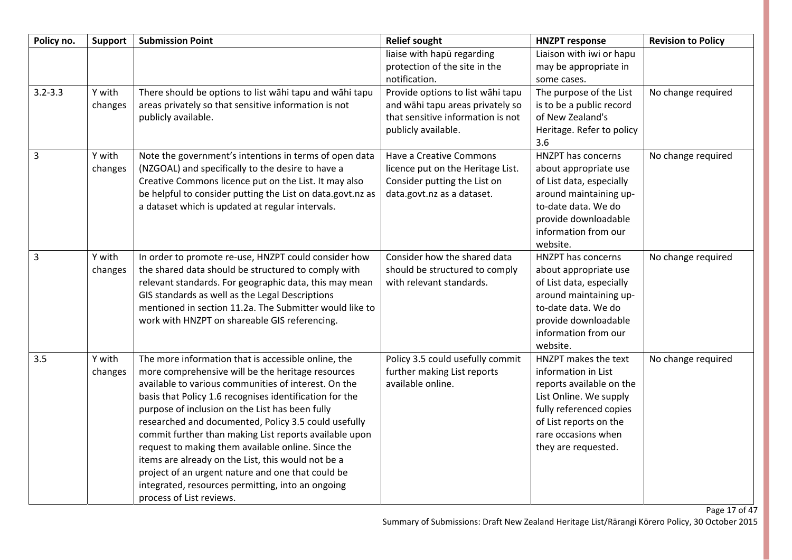| Policy no.     | Support           | <b>Submission Point</b>                                                                                                                                                                                                                                                                                                                                                                                                                                                                                                                                                                                                                            | <b>Relief sought</b>                                                                                                              | <b>HNZPT response</b>                                                                                                                                                                                | <b>Revision to Policy</b> |
|----------------|-------------------|----------------------------------------------------------------------------------------------------------------------------------------------------------------------------------------------------------------------------------------------------------------------------------------------------------------------------------------------------------------------------------------------------------------------------------------------------------------------------------------------------------------------------------------------------------------------------------------------------------------------------------------------------|-----------------------------------------------------------------------------------------------------------------------------------|------------------------------------------------------------------------------------------------------------------------------------------------------------------------------------------------------|---------------------------|
|                |                   |                                                                                                                                                                                                                                                                                                                                                                                                                                                                                                                                                                                                                                                    | liaise with hapū regarding<br>protection of the site in the<br>notification.                                                      | Liaison with iwi or hapu<br>may be appropriate in<br>some cases.                                                                                                                                     |                           |
| $3.2 - 3.3$    | Y with<br>changes | There should be options to list wāhi tapu and wāhi tapu<br>areas privately so that sensitive information is not<br>publicly available.                                                                                                                                                                                                                                                                                                                                                                                                                                                                                                             | Provide options to list wāhi tapu<br>and wāhi tapu areas privately so<br>that sensitive information is not<br>publicly available. | The purpose of the List<br>is to be a public record<br>of New Zealand's<br>Heritage. Refer to policy<br>3.6                                                                                          | No change required        |
| $\overline{3}$ | Y with<br>changes | Note the government's intentions in terms of open data<br>(NZGOAL) and specifically to the desire to have a<br>Creative Commons licence put on the List. It may also<br>be helpful to consider putting the List on data.govt.nz as<br>a dataset which is updated at regular intervals.                                                                                                                                                                                                                                                                                                                                                             | Have a Creative Commons<br>licence put on the Heritage List.<br>Consider putting the List on<br>data.govt.nz as a dataset.        | HNZPT has concerns<br>about appropriate use<br>of List data, especially<br>around maintaining up-<br>to-date data. We do<br>provide downloadable<br>information from our<br>website.                 | No change required        |
| $\overline{3}$ | Y with<br>changes | In order to promote re-use, HNZPT could consider how<br>the shared data should be structured to comply with<br>relevant standards. For geographic data, this may mean<br>GIS standards as well as the Legal Descriptions<br>mentioned in section 11.2a. The Submitter would like to<br>work with HNZPT on shareable GIS referencing.                                                                                                                                                                                                                                                                                                               | Consider how the shared data<br>should be structured to comply<br>with relevant standards.                                        | <b>HNZPT has concerns</b><br>about appropriate use<br>of List data, especially<br>around maintaining up-<br>to-date data. We do<br>provide downloadable<br>information from our<br>website.          | No change required        |
| 3.5            | Y with<br>changes | The more information that is accessible online, the<br>more comprehensive will be the heritage resources<br>available to various communities of interest. On the<br>basis that Policy 1.6 recognises identification for the<br>purpose of inclusion on the List has been fully<br>researched and documented, Policy 3.5 could usefully<br>commit further than making List reports available upon<br>request to making them available online. Since the<br>items are already on the List, this would not be a<br>project of an urgent nature and one that could be<br>integrated, resources permitting, into an ongoing<br>process of List reviews. | Policy 3.5 could usefully commit<br>further making List reports<br>available online.                                              | HNZPT makes the text<br>information in List<br>reports available on the<br>List Online. We supply<br>fully referenced copies<br>of List reports on the<br>rare occasions when<br>they are requested. | No change required        |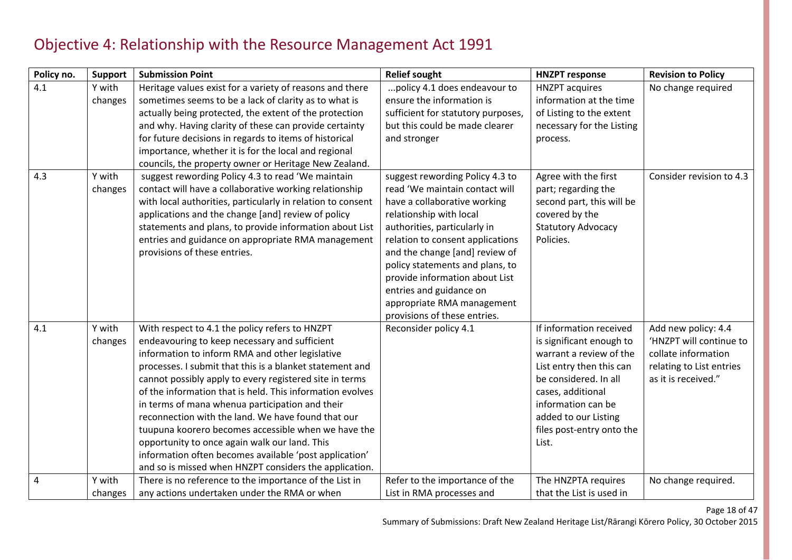#### Objective 4: Relationship with the Resource Management Act 1991

| Policy no. | <b>Support</b> | <b>Submission Point</b>                                                                                              | <b>Relief sought</b>               | <b>HNZPT response</b>                             | <b>Revision to Policy</b>                       |
|------------|----------------|----------------------------------------------------------------------------------------------------------------------|------------------------------------|---------------------------------------------------|-------------------------------------------------|
| 4.1        | Y with         | Heritage values exist for a variety of reasons and there                                                             | policy 4.1 does endeavour to       | <b>HNZPT</b> acquires                             | No change required                              |
|            | changes        | sometimes seems to be a lack of clarity as to what is                                                                | ensure the information is          | information at the time                           |                                                 |
|            |                | actually being protected, the extent of the protection                                                               | sufficient for statutory purposes, | of Listing to the extent                          |                                                 |
|            |                | and why. Having clarity of these can provide certainty                                                               | but this could be made clearer     | necessary for the Listing                         |                                                 |
|            |                | for future decisions in regards to items of historical                                                               | and stronger                       | process.                                          |                                                 |
|            |                | importance, whether it is for the local and regional                                                                 |                                    |                                                   |                                                 |
|            |                | councils, the property owner or Heritage New Zealand.                                                                |                                    |                                                   |                                                 |
| 4.3        | Y with         | suggest rewording Policy 4.3 to read 'We maintain                                                                    | suggest rewording Policy 4.3 to    | Agree with the first                              | Consider revision to 4.3                        |
|            | changes        | contact will have a collaborative working relationship                                                               | read 'We maintain contact will     | part; regarding the                               |                                                 |
|            |                | with local authorities, particularly in relation to consent                                                          | have a collaborative working       | second part, this will be                         |                                                 |
|            |                | applications and the change [and] review of policy                                                                   | relationship with local            | covered by the                                    |                                                 |
|            |                | statements and plans, to provide information about List                                                              | authorities, particularly in       | <b>Statutory Advocacy</b>                         |                                                 |
|            |                | entries and guidance on appropriate RMA management                                                                   | relation to consent applications   | Policies.                                         |                                                 |
|            |                | provisions of these entries.                                                                                         | and the change [and] review of     |                                                   |                                                 |
|            |                |                                                                                                                      | policy statements and plans, to    |                                                   |                                                 |
|            |                |                                                                                                                      | provide information about List     |                                                   |                                                 |
|            |                |                                                                                                                      | entries and guidance on            |                                                   |                                                 |
|            |                |                                                                                                                      | appropriate RMA management         |                                                   |                                                 |
|            |                |                                                                                                                      | provisions of these entries.       |                                                   |                                                 |
| 4.1        | Y with         | With respect to 4.1 the policy refers to HNZPT                                                                       | Reconsider policy 4.1              | If information received                           | Add new policy: 4.4                             |
|            | changes        | endeavouring to keep necessary and sufficient                                                                        |                                    | is significant enough to                          | 'HNZPT will continue to                         |
|            |                | information to inform RMA and other legislative                                                                      |                                    | warrant a review of the                           | collate information                             |
|            |                | processes. I submit that this is a blanket statement and                                                             |                                    | List entry then this can<br>be considered. In all | relating to List entries<br>as it is received." |
|            |                | cannot possibly apply to every registered site in terms<br>of the information that is held. This information evolves |                                    |                                                   |                                                 |
|            |                |                                                                                                                      |                                    | cases, additional<br>information can be           |                                                 |
|            |                | in terms of mana whenua participation and their<br>reconnection with the land. We have found that our                |                                    | added to our Listing                              |                                                 |
|            |                | tuupuna koorero becomes accessible when we have the                                                                  |                                    | files post-entry onto the                         |                                                 |
|            |                | opportunity to once again walk our land. This                                                                        |                                    | List.                                             |                                                 |
|            |                | information often becomes available 'post application'                                                               |                                    |                                                   |                                                 |
|            |                | and so is missed when HNZPT considers the application.                                                               |                                    |                                                   |                                                 |
| 4          | Y with         | There is no reference to the importance of the List in                                                               | Refer to the importance of the     | The HNZPTA requires                               | No change required.                             |
|            | changes        | any actions undertaken under the RMA or when                                                                         | List in RMA processes and          | that the List is used in                          |                                                 |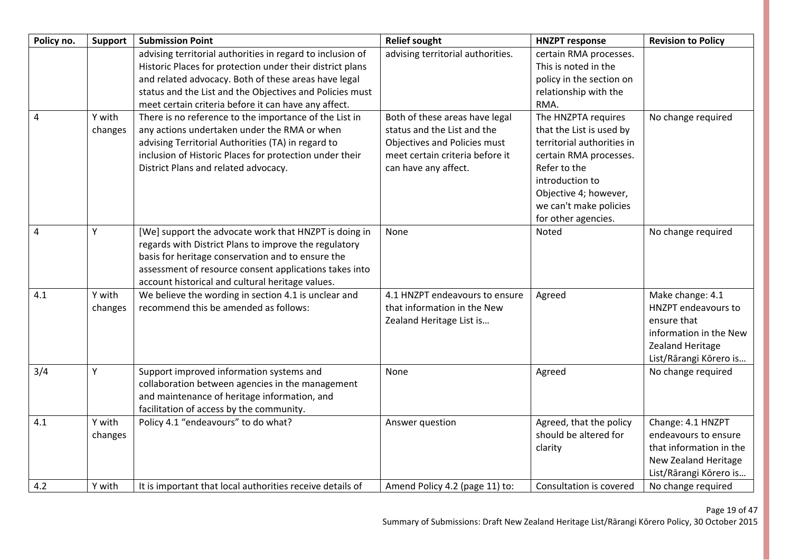| Policy no. | Support | <b>Submission Point</b>                                    | <b>Relief sought</b>              | <b>HNZPT response</b>      | <b>Revision to Policy</b> |
|------------|---------|------------------------------------------------------------|-----------------------------------|----------------------------|---------------------------|
|            |         | advising territorial authorities in regard to inclusion of | advising territorial authorities. | certain RMA processes.     |                           |
|            |         | Historic Places for protection under their district plans  |                                   | This is noted in the       |                           |
|            |         | and related advocacy. Both of these areas have legal       |                                   | policy in the section on   |                           |
|            |         | status and the List and the Objectives and Policies must   |                                   | relationship with the      |                           |
|            |         | meet certain criteria before it can have any affect.       |                                   | RMA.                       |                           |
| 4          | Y with  | There is no reference to the importance of the List in     | Both of these areas have legal    | The HNZPTA requires        | No change required        |
|            | changes | any actions undertaken under the RMA or when               | status and the List and the       | that the List is used by   |                           |
|            |         | advising Territorial Authorities (TA) in regard to         | Objectives and Policies must      | territorial authorities in |                           |
|            |         | inclusion of Historic Places for protection under their    | meet certain criteria before it   | certain RMA processes.     |                           |
|            |         | District Plans and related advocacy.                       | can have any affect.              | Refer to the               |                           |
|            |         |                                                            |                                   | introduction to            |                           |
|            |         |                                                            |                                   | Objective 4; however,      |                           |
|            |         |                                                            |                                   | we can't make policies     |                           |
|            |         |                                                            |                                   | for other agencies.        |                           |
| 4          | Y       | [We] support the advocate work that HNZPT is doing in      | None                              | Noted                      | No change required        |
|            |         | regards with District Plans to improve the regulatory      |                                   |                            |                           |
|            |         | basis for heritage conservation and to ensure the          |                                   |                            |                           |
|            |         | assessment of resource consent applications takes into     |                                   |                            |                           |
|            |         | account historical and cultural heritage values.           |                                   |                            |                           |
| 4.1        | Y with  | We believe the wording in section 4.1 is unclear and       | 4.1 HNZPT endeavours to ensure    | Agreed                     | Make change: 4.1          |
|            | changes | recommend this be amended as follows:                      | that information in the New       |                            | HNZPT endeavours to       |
|            |         |                                                            | Zealand Heritage List is          |                            | ensure that               |
|            |         |                                                            |                                   |                            | information in the New    |
|            |         |                                                            |                                   |                            | Zealand Heritage          |
|            |         |                                                            |                                   |                            | List/Rārangi Kōrero is    |
| 3/4        | Y       | Support improved information systems and                   | None                              | Agreed                     | No change required        |
|            |         | collaboration between agencies in the management           |                                   |                            |                           |
|            |         | and maintenance of heritage information, and               |                                   |                            |                           |
|            |         | facilitation of access by the community.                   |                                   |                            |                           |
| 4.1        | Y with  | Policy 4.1 "endeavours" to do what?                        | Answer question                   | Agreed, that the policy    | Change: 4.1 HNZPT         |
|            | changes |                                                            |                                   | should be altered for      | endeavours to ensure      |
|            |         |                                                            |                                   | clarity                    | that information in the   |
|            |         |                                                            |                                   |                            | New Zealand Heritage      |
|            |         |                                                            |                                   |                            | List/Rārangi Kōrero is    |
| 4.2        | Y with  | It is important that local authorities receive details of  | Amend Policy 4.2 (page 11) to:    | Consultation is covered    | No change required        |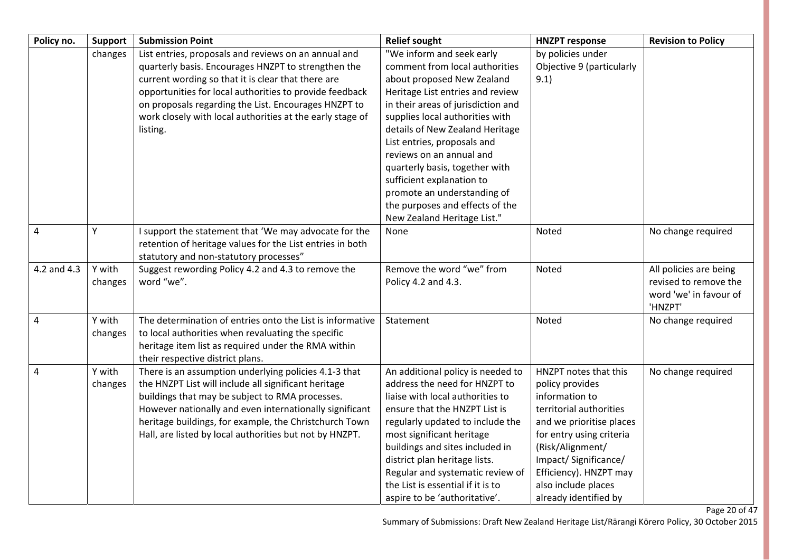| Policy no.  | Support           | <b>Submission Point</b>                                                                                                                                                                                                                                                                                                                                       | <b>Relief sought</b>                                                                                                                                                                                                                                                                                                                                                                                                                                                 | <b>HNZPT response</b>                                                                                                                                                                                                                                               | <b>Revision to Policy</b>                                                            |
|-------------|-------------------|---------------------------------------------------------------------------------------------------------------------------------------------------------------------------------------------------------------------------------------------------------------------------------------------------------------------------------------------------------------|----------------------------------------------------------------------------------------------------------------------------------------------------------------------------------------------------------------------------------------------------------------------------------------------------------------------------------------------------------------------------------------------------------------------------------------------------------------------|---------------------------------------------------------------------------------------------------------------------------------------------------------------------------------------------------------------------------------------------------------------------|--------------------------------------------------------------------------------------|
|             | changes           | List entries, proposals and reviews on an annual and<br>quarterly basis. Encourages HNZPT to strengthen the<br>current wording so that it is clear that there are<br>opportunities for local authorities to provide feedback<br>on proposals regarding the List. Encourages HNZPT to<br>work closely with local authorities at the early stage of<br>listing. | "We inform and seek early<br>comment from local authorities<br>about proposed New Zealand<br>Heritage List entries and review<br>in their areas of jurisdiction and<br>supplies local authorities with<br>details of New Zealand Heritage<br>List entries, proposals and<br>reviews on an annual and<br>quarterly basis, together with<br>sufficient explanation to<br>promote an understanding of<br>the purposes and effects of the<br>New Zealand Heritage List." | by policies under<br>Objective 9 (particularly<br>9.1)                                                                                                                                                                                                              |                                                                                      |
| 4           | Υ                 | I support the statement that 'We may advocate for the<br>retention of heritage values for the List entries in both<br>statutory and non-statutory processes"                                                                                                                                                                                                  | None                                                                                                                                                                                                                                                                                                                                                                                                                                                                 | Noted                                                                                                                                                                                                                                                               | No change required                                                                   |
| 4.2 and 4.3 | Y with<br>changes | Suggest rewording Policy 4.2 and 4.3 to remove the<br>word "we".                                                                                                                                                                                                                                                                                              | Remove the word "we" from<br>Policy 4.2 and 4.3.                                                                                                                                                                                                                                                                                                                                                                                                                     | Noted                                                                                                                                                                                                                                                               | All policies are being<br>revised to remove the<br>word 'we' in favour of<br>'HNZPT' |
| 4           | Y with<br>changes | The determination of entries onto the List is informative<br>to local authorities when revaluating the specific<br>heritage item list as required under the RMA within<br>their respective district plans.                                                                                                                                                    | Statement                                                                                                                                                                                                                                                                                                                                                                                                                                                            | Noted                                                                                                                                                                                                                                                               | No change required                                                                   |
| 4           | Y with<br>changes | There is an assumption underlying policies 4.1-3 that<br>the HNZPT List will include all significant heritage<br>buildings that may be subject to RMA processes.<br>However nationally and even internationally significant<br>heritage buildings, for example, the Christchurch Town<br>Hall, are listed by local authorities but not by HNZPT.              | An additional policy is needed to<br>address the need for HNZPT to<br>liaise with local authorities to<br>ensure that the HNZPT List is<br>regularly updated to include the<br>most significant heritage<br>buildings and sites included in<br>district plan heritage lists.<br>Regular and systematic review of<br>the List is essential if it is to<br>aspire to be 'authoritative'.                                                                               | HNZPT notes that this<br>policy provides<br>information to<br>territorial authorities<br>and we prioritise places<br>for entry using criteria<br>(Risk/Alignment/<br>Impact/Significance/<br>Efficiency). HNZPT may<br>also include places<br>already identified by | No change required                                                                   |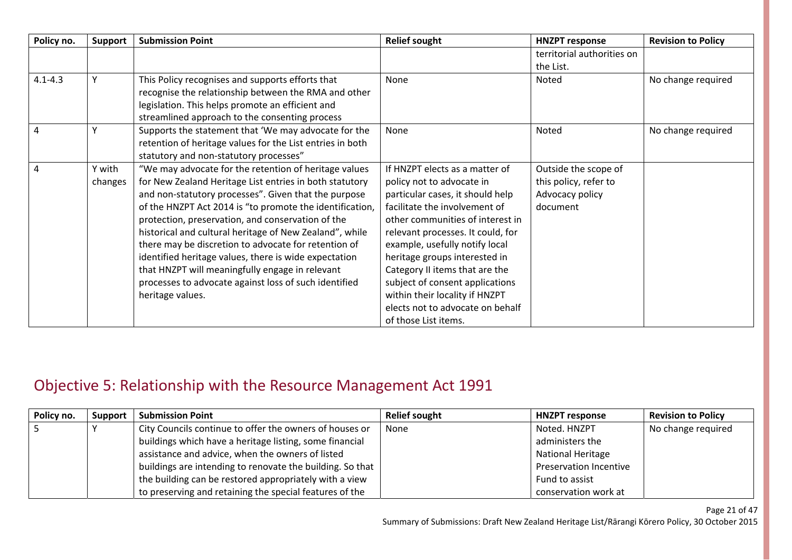| Policy no.  | Support | <b>Submission Point</b>                                   | <b>Relief sought</b>              | <b>HNZPT response</b>      | <b>Revision to Policy</b> |
|-------------|---------|-----------------------------------------------------------|-----------------------------------|----------------------------|---------------------------|
|             |         |                                                           |                                   | territorial authorities on |                           |
|             |         |                                                           |                                   | the List.                  |                           |
| $4.1 - 4.3$ |         | This Policy recognises and supports efforts that          | None                              | Noted                      | No change required        |
|             |         | recognise the relationship between the RMA and other      |                                   |                            |                           |
|             |         | legislation. This helps promote an efficient and          |                                   |                            |                           |
|             |         | streamlined approach to the consenting process            |                                   |                            |                           |
| 4           |         | Supports the statement that 'We may advocate for the      | None                              | Noted                      | No change required        |
|             |         | retention of heritage values for the List entries in both |                                   |                            |                           |
|             |         | statutory and non-statutory processes"                    |                                   |                            |                           |
| 4           | Y with  | "We may advocate for the retention of heritage values     | If HNZPT elects as a matter of    | Outside the scope of       |                           |
|             | changes | for New Zealand Heritage List entries in both statutory   | policy not to advocate in         | this policy, refer to      |                           |
|             |         | and non-statutory processes". Given that the purpose      | particular cases, it should help  | Advocacy policy            |                           |
|             |         | of the HNZPT Act 2014 is "to promote the identification,  | facilitate the involvement of     | document                   |                           |
|             |         | protection, preservation, and conservation of the         | other communities of interest in  |                            |                           |
|             |         | historical and cultural heritage of New Zealand", while   | relevant processes. It could, for |                            |                           |
|             |         | there may be discretion to advocate for retention of      | example, usefully notify local    |                            |                           |
|             |         | identified heritage values, there is wide expectation     | heritage groups interested in     |                            |                           |
|             |         | that HNZPT will meaningfully engage in relevant           | Category II items that are the    |                            |                           |
|             |         | processes to advocate against loss of such identified     | subject of consent applications   |                            |                           |
|             |         | heritage values.                                          | within their locality if HNZPT    |                            |                           |
|             |         |                                                           | elects not to advocate on behalf  |                            |                           |
|             |         |                                                           | of those List items.              |                            |                           |

### Objective 5: Relationship with the Resource Management Act 1991

| Policy no. | Support | <b>Submission Point</b>                                   | <b>Relief sought</b> | <b>HNZPT response</b>    | <b>Revision to Policy</b> |
|------------|---------|-----------------------------------------------------------|----------------------|--------------------------|---------------------------|
|            |         | City Councils continue to offer the owners of houses or   | <b>None</b>          | Noted. HNZPT             | No change required        |
|            |         | buildings which have a heritage listing, some financial   |                      | administers the          |                           |
|            |         | assistance and advice, when the owners of listed          |                      | <b>National Heritage</b> |                           |
|            |         | buildings are intending to renovate the building. So that |                      | Preservation Incentive   |                           |
|            |         | the building can be restored appropriately with a view    |                      | Fund to assist           |                           |
|            |         | to preserving and retaining the special features of the   |                      | conservation work at     |                           |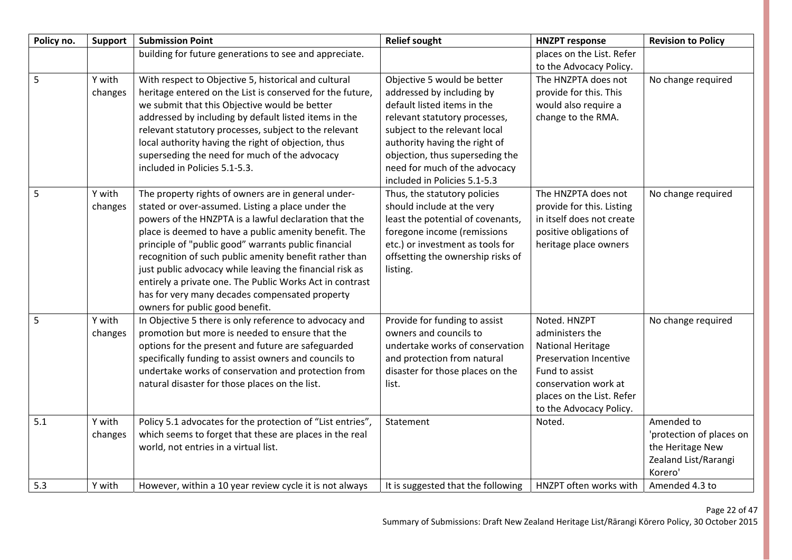| Policy no. | <b>Support</b>    | <b>Submission Point</b>                                                                                                                                                                                                                                                                                                                                                                                                                                                                                                                                   | <b>Relief sought</b>                                                                                                                                                                                                                                                                           | <b>HNZPT response</b>                                                                                                                                                                          | <b>Revision to Policy</b>                                                                     |
|------------|-------------------|-----------------------------------------------------------------------------------------------------------------------------------------------------------------------------------------------------------------------------------------------------------------------------------------------------------------------------------------------------------------------------------------------------------------------------------------------------------------------------------------------------------------------------------------------------------|------------------------------------------------------------------------------------------------------------------------------------------------------------------------------------------------------------------------------------------------------------------------------------------------|------------------------------------------------------------------------------------------------------------------------------------------------------------------------------------------------|-----------------------------------------------------------------------------------------------|
|            |                   | building for future generations to see and appreciate.                                                                                                                                                                                                                                                                                                                                                                                                                                                                                                    |                                                                                                                                                                                                                                                                                                | places on the List. Refer<br>to the Advocacy Policy.                                                                                                                                           |                                                                                               |
| 5          | Y with<br>changes | With respect to Objective 5, historical and cultural<br>heritage entered on the List is conserved for the future,<br>we submit that this Objective would be better<br>addressed by including by default listed items in the<br>relevant statutory processes, subject to the relevant<br>local authority having the right of objection, thus<br>superseding the need for much of the advocacy<br>included in Policies 5.1-5.3.                                                                                                                             | Objective 5 would be better<br>addressed by including by<br>default listed items in the<br>relevant statutory processes,<br>subject to the relevant local<br>authority having the right of<br>objection, thus superseding the<br>need for much of the advocacy<br>included in Policies 5.1-5.3 | The HNZPTA does not<br>provide for this. This<br>would also require a<br>change to the RMA.                                                                                                    | No change required                                                                            |
| 5          | Y with<br>changes | The property rights of owners are in general under-<br>stated or over-assumed. Listing a place under the<br>powers of the HNZPTA is a lawful declaration that the<br>place is deemed to have a public amenity benefit. The<br>principle of "public good" warrants public financial<br>recognition of such public amenity benefit rather than<br>just public advocacy while leaving the financial risk as<br>entirely a private one. The Public Works Act in contrast<br>has for very many decades compensated property<br>owners for public good benefit. | Thus, the statutory policies<br>should include at the very<br>least the potential of covenants,<br>foregone income (remissions<br>etc.) or investment as tools for<br>offsetting the ownership risks of<br>listing.                                                                            | The HNZPTA does not<br>provide for this. Listing<br>in itself does not create<br>positive obligations of<br>heritage place owners                                                              | No change required                                                                            |
| 5          | Y with<br>changes | In Objective 5 there is only reference to advocacy and<br>promotion but more is needed to ensure that the<br>options for the present and future are safeguarded<br>specifically funding to assist owners and councils to<br>undertake works of conservation and protection from<br>natural disaster for those places on the list.                                                                                                                                                                                                                         | Provide for funding to assist<br>owners and councils to<br>undertake works of conservation<br>and protection from natural<br>disaster for those places on the<br>list.                                                                                                                         | Noted. HNZPT<br>administers the<br><b>National Heritage</b><br><b>Preservation Incentive</b><br>Fund to assist<br>conservation work at<br>places on the List. Refer<br>to the Advocacy Policy. | No change required                                                                            |
| 5.1        | Y with<br>changes | Policy 5.1 advocates for the protection of "List entries",<br>which seems to forget that these are places in the real<br>world, not entries in a virtual list.                                                                                                                                                                                                                                                                                                                                                                                            | Statement                                                                                                                                                                                                                                                                                      | Noted.                                                                                                                                                                                         | Amended to<br>'protection of places on<br>the Heritage New<br>Zealand List/Rarangi<br>Korero' |
| 5.3        | Y with            | However, within a 10 year review cycle it is not always                                                                                                                                                                                                                                                                                                                                                                                                                                                                                                   | It is suggested that the following                                                                                                                                                                                                                                                             | HNZPT often works with                                                                                                                                                                         | Amended 4.3 to                                                                                |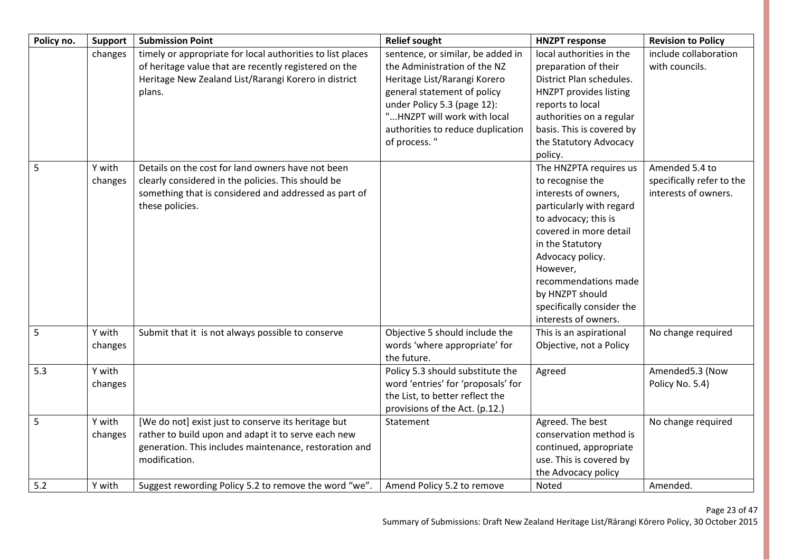| Policy no. | <b>Support</b>    | <b>Submission Point</b>                                                                                                                                                               | <b>Relief sought</b>                                                                                                                                                                                                                                | <b>HNZPT response</b>                                                                                                                                                                                                                                                                                | <b>Revision to Policy</b>                                           |
|------------|-------------------|---------------------------------------------------------------------------------------------------------------------------------------------------------------------------------------|-----------------------------------------------------------------------------------------------------------------------------------------------------------------------------------------------------------------------------------------------------|------------------------------------------------------------------------------------------------------------------------------------------------------------------------------------------------------------------------------------------------------------------------------------------------------|---------------------------------------------------------------------|
|            | changes           | timely or appropriate for local authorities to list places<br>of heritage value that are recently registered on the<br>Heritage New Zealand List/Rarangi Korero in district<br>plans. | sentence, or similar, be added in<br>the Administration of the NZ<br>Heritage List/Rarangi Korero<br>general statement of policy<br>under Policy 5.3 (page 12):<br>"HNZPT will work with local<br>authorities to reduce duplication<br>of process." | local authorities in the<br>preparation of their<br>District Plan schedules.<br><b>HNZPT</b> provides listing<br>reports to local<br>authorities on a regular<br>basis. This is covered by<br>the Statutory Advocacy<br>policy.                                                                      | include collaboration<br>with councils.                             |
| 5          | Y with<br>changes | Details on the cost for land owners have not been<br>clearly considered in the policies. This should be<br>something that is considered and addressed as part of<br>these policies.   |                                                                                                                                                                                                                                                     | The HNZPTA requires us<br>to recognise the<br>interests of owners,<br>particularly with regard<br>to advocacy; this is<br>covered in more detail<br>in the Statutory<br>Advocacy policy.<br>However,<br>recommendations made<br>by HNZPT should<br>specifically consider the<br>interests of owners. | Amended 5.4 to<br>specifically refer to the<br>interests of owners. |
| 5          | Y with<br>changes | Submit that it is not always possible to conserve                                                                                                                                     | Objective 5 should include the<br>words 'where appropriate' for<br>the future.                                                                                                                                                                      | This is an aspirational<br>Objective, not a Policy                                                                                                                                                                                                                                                   | No change required                                                  |
| 5.3        | Y with<br>changes |                                                                                                                                                                                       | Policy 5.3 should substitute the<br>word 'entries' for 'proposals' for<br>the List, to better reflect the<br>provisions of the Act. (p.12.)                                                                                                         | Agreed                                                                                                                                                                                                                                                                                               | Amended5.3 (Now<br>Policy No. 5.4)                                  |
| 5          | Y with<br>changes | [We do not] exist just to conserve its heritage but<br>rather to build upon and adapt it to serve each new<br>generation. This includes maintenance, restoration and<br>modification. | Statement                                                                                                                                                                                                                                           | Agreed. The best<br>conservation method is<br>continued, appropriate<br>use. This is covered by<br>the Advocacy policy                                                                                                                                                                               | No change required                                                  |
| 5.2        | Y with            | Suggest rewording Policy 5.2 to remove the word "we".                                                                                                                                 | Amend Policy 5.2 to remove                                                                                                                                                                                                                          | Noted                                                                                                                                                                                                                                                                                                | Amended.                                                            |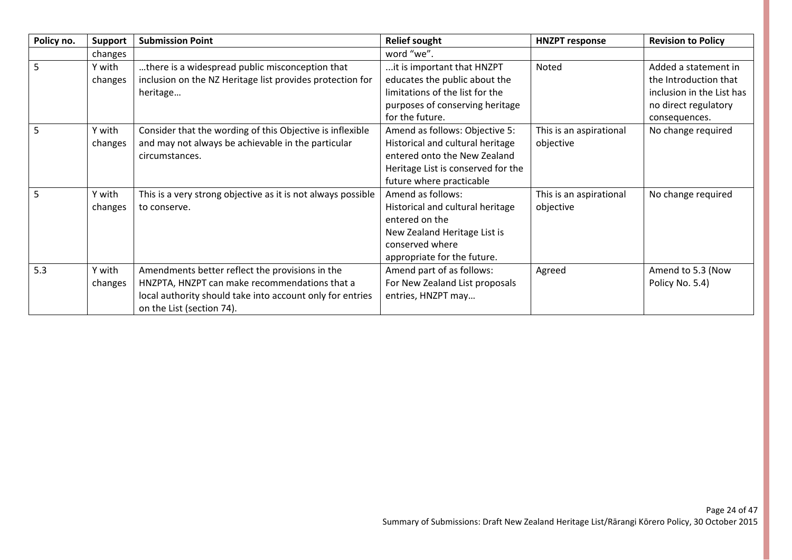| Policy no. | Support | <b>Submission Point</b>                                      | <b>Relief sought</b>               | <b>HNZPT response</b>   | <b>Revision to Policy</b> |
|------------|---------|--------------------------------------------------------------|------------------------------------|-------------------------|---------------------------|
|            | changes |                                                              | word "we".                         |                         |                           |
| 5.         | Y with  | there is a widespread public misconception that              | it is important that HNZPT         | Noted                   | Added a statement in      |
|            | changes | inclusion on the NZ Heritage list provides protection for    | educates the public about the      |                         | the Introduction that     |
|            |         | heritage                                                     | limitations of the list for the    |                         | inclusion in the List has |
|            |         |                                                              | purposes of conserving heritage    |                         | no direct regulatory      |
|            |         |                                                              | for the future.                    |                         | consequences.             |
| 5          | Y with  | Consider that the wording of this Objective is inflexible    | Amend as follows: Objective 5:     | This is an aspirational | No change required        |
|            | changes | and may not always be achievable in the particular           | Historical and cultural heritage   | objective               |                           |
|            |         | circumstances.                                               | entered onto the New Zealand       |                         |                           |
|            |         |                                                              | Heritage List is conserved for the |                         |                           |
|            |         |                                                              | future where practicable           |                         |                           |
|            | Y with  | This is a very strong objective as it is not always possible | Amend as follows:                  | This is an aspirational | No change required        |
|            | changes | to conserve.                                                 | Historical and cultural heritage   | objective               |                           |
|            |         |                                                              | entered on the                     |                         |                           |
|            |         |                                                              | New Zealand Heritage List is       |                         |                           |
|            |         |                                                              | conserved where                    |                         |                           |
|            |         |                                                              | appropriate for the future.        |                         |                           |
| 5.3        | Y with  | Amendments better reflect the provisions in the              | Amend part of as follows:          | Agreed                  | Amend to 5.3 (Now         |
|            | changes | HNZPTA, HNZPT can make recommendations that a                | For New Zealand List proposals     |                         | Policy No. 5.4)           |
|            |         | local authority should take into account only for entries    | entries, HNZPT may                 |                         |                           |
|            |         | on the List (section 74).                                    |                                    |                         |                           |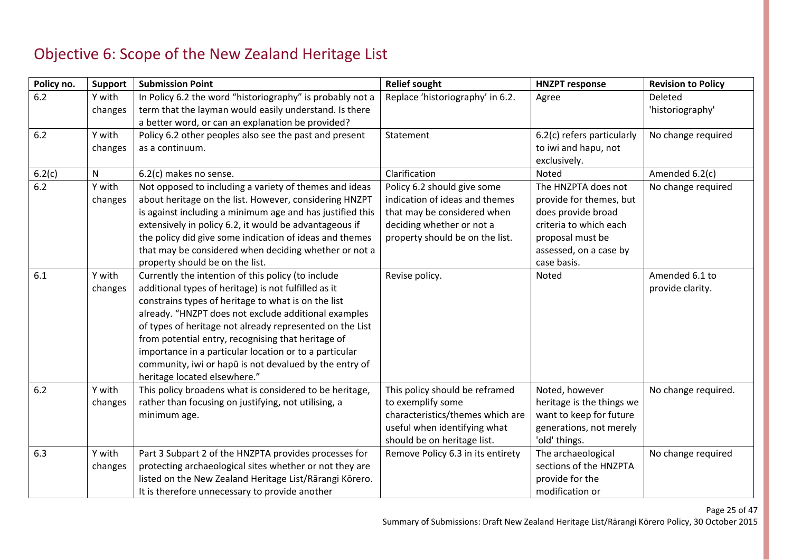### Objective 6: Scope of the New Zealand Heritage List

| Policy no. | <b>Support</b>    | <b>Submission Point</b>                                                                                                                                                                                                                                                                                                                                                                                                                                                                         | <b>Relief sought</b>                                                                                                                                         | <b>HNZPT response</b>                                                                                                                                       | <b>Revision to Policy</b>          |
|------------|-------------------|-------------------------------------------------------------------------------------------------------------------------------------------------------------------------------------------------------------------------------------------------------------------------------------------------------------------------------------------------------------------------------------------------------------------------------------------------------------------------------------------------|--------------------------------------------------------------------------------------------------------------------------------------------------------------|-------------------------------------------------------------------------------------------------------------------------------------------------------------|------------------------------------|
| 6.2        | Y with<br>changes | In Policy 6.2 the word "historiography" is probably not a<br>term that the layman would easily understand. Is there<br>a better word, or can an explanation be provided?                                                                                                                                                                                                                                                                                                                        | Replace 'historiography' in 6.2.                                                                                                                             | Agree                                                                                                                                                       | Deleted<br>'historiography'        |
| 6.2        | Y with<br>changes | Policy 6.2 other peoples also see the past and present<br>as a continuum.                                                                                                                                                                                                                                                                                                                                                                                                                       | Statement                                                                                                                                                    | 6.2(c) refers particularly<br>to iwi and hapu, not<br>exclusively.                                                                                          | No change required                 |
| 6.2(c)     | N                 | 6.2(c) makes no sense.                                                                                                                                                                                                                                                                                                                                                                                                                                                                          | Clarification                                                                                                                                                | Noted                                                                                                                                                       | Amended 6.2(c)                     |
| 6.2        | Y with<br>changes | Not opposed to including a variety of themes and ideas<br>about heritage on the list. However, considering HNZPT<br>is against including a minimum age and has justified this<br>extensively in policy 6.2, it would be advantageous if<br>the policy did give some indication of ideas and themes<br>that may be considered when deciding whether or not a<br>property should be on the list.                                                                                                  | Policy 6.2 should give some<br>indication of ideas and themes<br>that may be considered when<br>deciding whether or not a<br>property should be on the list. | The HNZPTA does not<br>provide for themes, but<br>does provide broad<br>criteria to which each<br>proposal must be<br>assessed, on a case by<br>case basis. | No change required                 |
| 6.1        | Y with<br>changes | Currently the intention of this policy (to include<br>additional types of heritage) is not fulfilled as it<br>constrains types of heritage to what is on the list<br>already. "HNZPT does not exclude additional examples<br>of types of heritage not already represented on the List<br>from potential entry, recognising that heritage of<br>importance in a particular location or to a particular<br>community, iwi or hapu is not devalued by the entry of<br>heritage located elsewhere." | Revise policy.                                                                                                                                               | Noted                                                                                                                                                       | Amended 6.1 to<br>provide clarity. |
| 6.2        | Y with<br>changes | This policy broadens what is considered to be heritage,<br>rather than focusing on justifying, not utilising, a<br>minimum age.                                                                                                                                                                                                                                                                                                                                                                 | This policy should be reframed<br>to exemplify some<br>characteristics/themes which are<br>useful when identifying what<br>should be on heritage list.       | Noted, however<br>heritage is the things we<br>want to keep for future<br>generations, not merely<br>'old' things.                                          | No change required.                |
| 6.3        | Y with<br>changes | Part 3 Subpart 2 of the HNZPTA provides processes for<br>protecting archaeological sites whether or not they are<br>listed on the New Zealand Heritage List/Rārangi Kōrero.<br>It is therefore unnecessary to provide another                                                                                                                                                                                                                                                                   | Remove Policy 6.3 in its entirety                                                                                                                            | The archaeological<br>sections of the HNZPTA<br>provide for the<br>modification or                                                                          | No change required                 |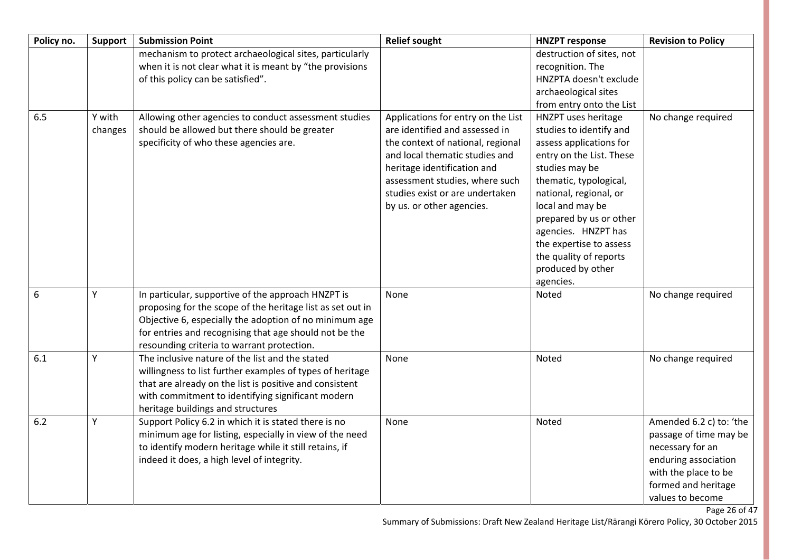| Policy no. | <b>Support</b>    | <b>Submission Point</b>                                                                                                                                                                                                                                                            | <b>Relief sought</b>                                                                                                                                                                                                                                                         | <b>HNZPT response</b>                                                                                                                                                                                                                                                                                                                    | <b>Revision to Policy</b>                                                                                                                                                         |
|------------|-------------------|------------------------------------------------------------------------------------------------------------------------------------------------------------------------------------------------------------------------------------------------------------------------------------|------------------------------------------------------------------------------------------------------------------------------------------------------------------------------------------------------------------------------------------------------------------------------|------------------------------------------------------------------------------------------------------------------------------------------------------------------------------------------------------------------------------------------------------------------------------------------------------------------------------------------|-----------------------------------------------------------------------------------------------------------------------------------------------------------------------------------|
|            |                   | mechanism to protect archaeological sites, particularly<br>when it is not clear what it is meant by "the provisions                                                                                                                                                                |                                                                                                                                                                                                                                                                              | destruction of sites, not<br>recognition. The                                                                                                                                                                                                                                                                                            |                                                                                                                                                                                   |
|            |                   | of this policy can be satisfied".                                                                                                                                                                                                                                                  |                                                                                                                                                                                                                                                                              | HNZPTA doesn't exclude                                                                                                                                                                                                                                                                                                                   |                                                                                                                                                                                   |
|            |                   |                                                                                                                                                                                                                                                                                    |                                                                                                                                                                                                                                                                              | archaeological sites                                                                                                                                                                                                                                                                                                                     |                                                                                                                                                                                   |
|            |                   |                                                                                                                                                                                                                                                                                    |                                                                                                                                                                                                                                                                              | from entry onto the List                                                                                                                                                                                                                                                                                                                 |                                                                                                                                                                                   |
| 6.5        | Y with<br>changes | Allowing other agencies to conduct assessment studies<br>should be allowed but there should be greater<br>specificity of who these agencies are.                                                                                                                                   | Applications for entry on the List<br>are identified and assessed in<br>the context of national, regional<br>and local thematic studies and<br>heritage identification and<br>assessment studies, where such<br>studies exist or are undertaken<br>by us. or other agencies. | HNZPT uses heritage<br>studies to identify and<br>assess applications for<br>entry on the List. These<br>studies may be<br>thematic, typological,<br>national, regional, or<br>local and may be<br>prepared by us or other<br>agencies. HNZPT has<br>the expertise to assess<br>the quality of reports<br>produced by other<br>agencies. | No change required                                                                                                                                                                |
| 6          | Y                 | In particular, supportive of the approach HNZPT is<br>proposing for the scope of the heritage list as set out in<br>Objective 6, especially the adoption of no minimum age<br>for entries and recognising that age should not be the<br>resounding criteria to warrant protection. | None                                                                                                                                                                                                                                                                         | Noted                                                                                                                                                                                                                                                                                                                                    | No change required                                                                                                                                                                |
| 6.1        | Y                 | The inclusive nature of the list and the stated<br>willingness to list further examples of types of heritage<br>that are already on the list is positive and consistent<br>with commitment to identifying significant modern<br>heritage buildings and structures                  | None                                                                                                                                                                                                                                                                         | Noted                                                                                                                                                                                                                                                                                                                                    | No change required                                                                                                                                                                |
| 6.2        | Y                 | Support Policy 6.2 in which it is stated there is no<br>minimum age for listing, especially in view of the need<br>to identify modern heritage while it still retains, if<br>indeed it does, a high level of integrity.                                                            | None                                                                                                                                                                                                                                                                         | Noted                                                                                                                                                                                                                                                                                                                                    | Amended 6.2 c) to: 'the<br>passage of time may be<br>necessary for an<br>enduring association<br>with the place to be<br>formed and heritage<br>values to become<br>Page 26 of 47 |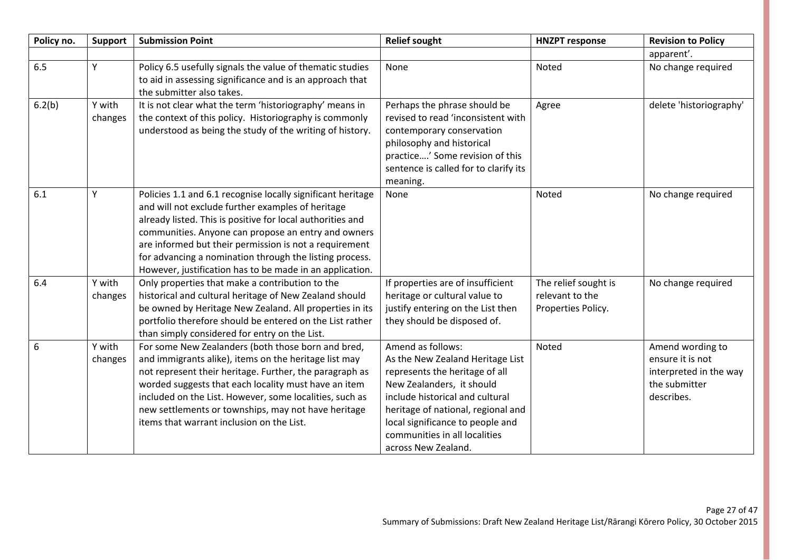| Policy no. | <b>Support</b>    | <b>Submission Point</b>                                                                                                                                                                                                                                                                                                                                                                                                | <b>Relief sought</b>                                                                                                                                                                                                                                                                      | <b>HNZPT response</b>                                         | <b>Revision to Policy</b>                                                                     |
|------------|-------------------|------------------------------------------------------------------------------------------------------------------------------------------------------------------------------------------------------------------------------------------------------------------------------------------------------------------------------------------------------------------------------------------------------------------------|-------------------------------------------------------------------------------------------------------------------------------------------------------------------------------------------------------------------------------------------------------------------------------------------|---------------------------------------------------------------|-----------------------------------------------------------------------------------------------|
|            |                   |                                                                                                                                                                                                                                                                                                                                                                                                                        |                                                                                                                                                                                                                                                                                           |                                                               | apparent'.                                                                                    |
| 6.5        | Y                 | Policy 6.5 usefully signals the value of thematic studies<br>to aid in assessing significance and is an approach that<br>the submitter also takes.                                                                                                                                                                                                                                                                     | None                                                                                                                                                                                                                                                                                      | Noted                                                         | No change required                                                                            |
| 6.2(b)     | Y with<br>changes | It is not clear what the term 'historiography' means in<br>the context of this policy. Historiography is commonly<br>understood as being the study of the writing of history.                                                                                                                                                                                                                                          | Perhaps the phrase should be<br>revised to read 'inconsistent with<br>contemporary conservation<br>philosophy and historical<br>practice' Some revision of this<br>sentence is called for to clarify its<br>meaning.                                                                      | Agree                                                         | delete 'historiography'                                                                       |
| 6.1        | Y                 | Policies 1.1 and 6.1 recognise locally significant heritage<br>and will not exclude further examples of heritage<br>already listed. This is positive for local authorities and<br>communities. Anyone can propose an entry and owners<br>are informed but their permission is not a requirement<br>for advancing a nomination through the listing process.<br>However, justification has to be made in an application. | None                                                                                                                                                                                                                                                                                      | Noted                                                         | No change required                                                                            |
| 6.4        | Y with<br>changes | Only properties that make a contribution to the<br>historical and cultural heritage of New Zealand should<br>be owned by Heritage New Zealand. All properties in its<br>portfolio therefore should be entered on the List rather<br>than simply considered for entry on the List.                                                                                                                                      | If properties are of insufficient<br>heritage or cultural value to<br>justify entering on the List then<br>they should be disposed of.                                                                                                                                                    | The relief sought is<br>relevant to the<br>Properties Policy. | No change required                                                                            |
| 6          | Y with<br>changes | For some New Zealanders (both those born and bred,<br>and immigrants alike), items on the heritage list may<br>not represent their heritage. Further, the paragraph as<br>worded suggests that each locality must have an item<br>included on the List. However, some localities, such as<br>new settlements or townships, may not have heritage<br>items that warrant inclusion on the List.                          | Amend as follows:<br>As the New Zealand Heritage List<br>represents the heritage of all<br>New Zealanders, it should<br>include historical and cultural<br>heritage of national, regional and<br>local significance to people and<br>communities in all localities<br>across New Zealand. | Noted                                                         | Amend wording to<br>ensure it is not<br>interpreted in the way<br>the submitter<br>describes. |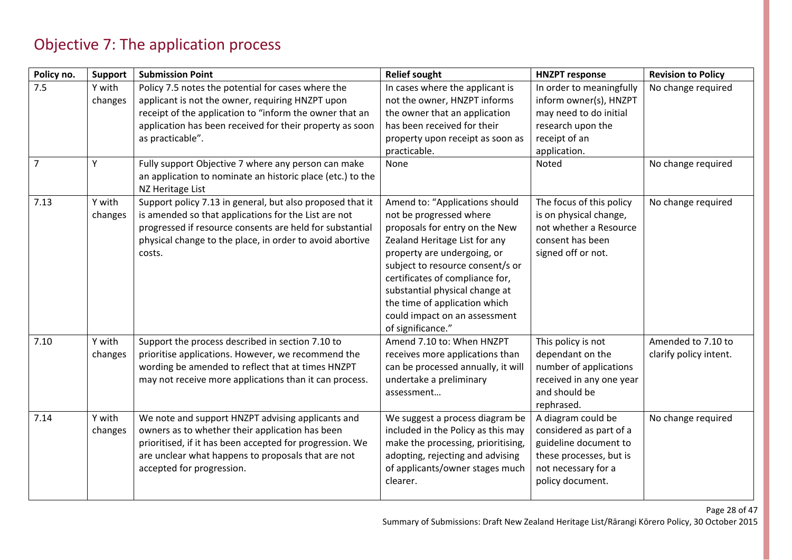### Objective 7: The application process

| Policy no.            | <b>Support</b>         | <b>Submission Point</b>                                                                                                                                                                                                                                                                                  | <b>Relief sought</b>                                                                                                                                                                                                                                                                                                                                        | <b>HNZPT response</b>                                                                                                                        | <b>Revision to Policy</b>                    |
|-----------------------|------------------------|----------------------------------------------------------------------------------------------------------------------------------------------------------------------------------------------------------------------------------------------------------------------------------------------------------|-------------------------------------------------------------------------------------------------------------------------------------------------------------------------------------------------------------------------------------------------------------------------------------------------------------------------------------------------------------|----------------------------------------------------------------------------------------------------------------------------------------------|----------------------------------------------|
| 7.5<br>$\overline{7}$ | Y with<br>changes<br>Y | Policy 7.5 notes the potential for cases where the<br>applicant is not the owner, requiring HNZPT upon<br>receipt of the application to "inform the owner that an<br>application has been received for their property as soon<br>as practicable".<br>Fully support Objective 7 where any person can make | In cases where the applicant is<br>not the owner, HNZPT informs<br>the owner that an application<br>has been received for their<br>property upon receipt as soon as<br>practicable.<br>None                                                                                                                                                                 | In order to meaningfully<br>inform owner(s), HNZPT<br>may need to do initial<br>research upon the<br>receipt of an<br>application.<br>Noted  | No change required<br>No change required     |
|                       |                        | an application to nominate an historic place (etc.) to the<br>NZ Heritage List                                                                                                                                                                                                                           |                                                                                                                                                                                                                                                                                                                                                             |                                                                                                                                              |                                              |
| 7.13                  | Y with<br>changes      | Support policy 7.13 in general, but also proposed that it<br>is amended so that applications for the List are not<br>progressed if resource consents are held for substantial<br>physical change to the place, in order to avoid abortive<br>costs.                                                      | Amend to: "Applications should<br>not be progressed where<br>proposals for entry on the New<br>Zealand Heritage List for any<br>property are undergoing, or<br>subject to resource consent/s or<br>certificates of compliance for,<br>substantial physical change at<br>the time of application which<br>could impact on an assessment<br>of significance." | The focus of this policy<br>is on physical change,<br>not whether a Resource<br>consent has been<br>signed off or not.                       | No change required                           |
| 7.10                  | Y with<br>changes      | Support the process described in section 7.10 to<br>prioritise applications. However, we recommend the<br>wording be amended to reflect that at times HNZPT<br>may not receive more applications than it can process.                                                                                    | Amend 7.10 to: When HNZPT<br>receives more applications than<br>can be processed annually, it will<br>undertake a preliminary<br>assessment                                                                                                                                                                                                                 | This policy is not<br>dependant on the<br>number of applications<br>received in any one year<br>and should be<br>rephrased.                  | Amended to 7.10 to<br>clarify policy intent. |
| 7.14                  | Y with<br>changes      | We note and support HNZPT advising applicants and<br>owners as to whether their application has been<br>prioritised, if it has been accepted for progression. We<br>are unclear what happens to proposals that are not<br>accepted for progression.                                                      | We suggest a process diagram be<br>included in the Policy as this may<br>make the processing, prioritising,<br>adopting, rejecting and advising<br>of applicants/owner stages much<br>clearer.                                                                                                                                                              | A diagram could be<br>considered as part of a<br>guideline document to<br>these processes, but is<br>not necessary for a<br>policy document. | No change required                           |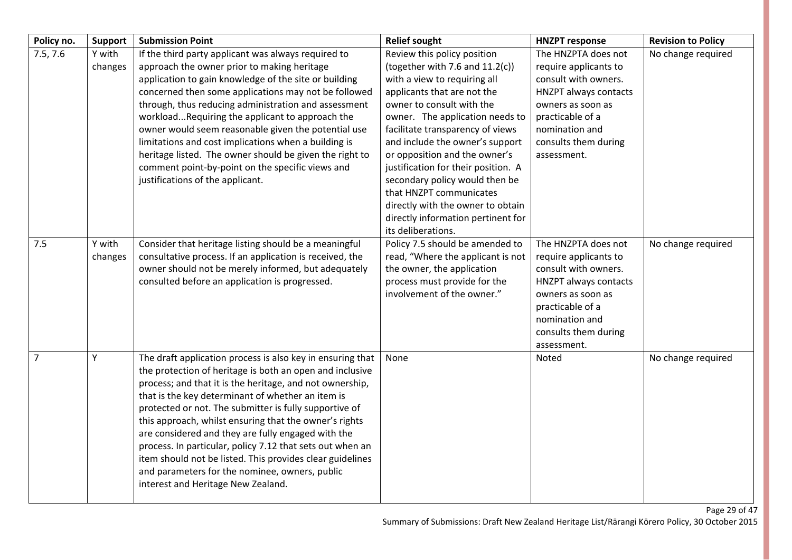| Policy no.     | <b>Support</b>    | <b>Submission Point</b>                                                                                                                                                                                                                                                                                                                                                                                                                                                                                                                                                                                                             | <b>Relief sought</b>                                                                                                                                                                                                                                                                                                                                                                                                                                                                                          | <b>HNZPT response</b>                                                                                                                                                                           | <b>Revision to Policy</b> |
|----------------|-------------------|-------------------------------------------------------------------------------------------------------------------------------------------------------------------------------------------------------------------------------------------------------------------------------------------------------------------------------------------------------------------------------------------------------------------------------------------------------------------------------------------------------------------------------------------------------------------------------------------------------------------------------------|---------------------------------------------------------------------------------------------------------------------------------------------------------------------------------------------------------------------------------------------------------------------------------------------------------------------------------------------------------------------------------------------------------------------------------------------------------------------------------------------------------------|-------------------------------------------------------------------------------------------------------------------------------------------------------------------------------------------------|---------------------------|
| 7.5, 7.6       | Y with<br>changes | If the third party applicant was always required to<br>approach the owner prior to making heritage<br>application to gain knowledge of the site or building<br>concerned then some applications may not be followed<br>through, thus reducing administration and assessment<br>workloadRequiring the applicant to approach the<br>owner would seem reasonable given the potential use<br>limitations and cost implications when a building is<br>heritage listed. The owner should be given the right to<br>comment point-by-point on the specific views and<br>justifications of the applicant.                                    | Review this policy position<br>(together with 7.6 and $11.2(c)$ )<br>with a view to requiring all<br>applicants that are not the<br>owner to consult with the<br>owner. The application needs to<br>facilitate transparency of views<br>and include the owner's support<br>or opposition and the owner's<br>justification for their position. A<br>secondary policy would then be<br>that HNZPT communicates<br>directly with the owner to obtain<br>directly information pertinent for<br>its deliberations. | The HNZPTA does not<br>require applicants to<br>consult with owners.<br>HNZPT always contacts<br>owners as soon as<br>practicable of a<br>nomination and<br>consults them during<br>assessment. | No change required        |
| 7.5            | Y with<br>changes | Consider that heritage listing should be a meaningful<br>consultative process. If an application is received, the<br>owner should not be merely informed, but adequately<br>consulted before an application is progressed.                                                                                                                                                                                                                                                                                                                                                                                                          | Policy 7.5 should be amended to<br>read, "Where the applicant is not<br>the owner, the application<br>process must provide for the<br>involvement of the owner."                                                                                                                                                                                                                                                                                                                                              | The HNZPTA does not<br>require applicants to<br>consult with owners.<br>HNZPT always contacts<br>owners as soon as<br>practicable of a<br>nomination and<br>consults them during<br>assessment. | No change required        |
| $\overline{7}$ | Y                 | The draft application process is also key in ensuring that<br>the protection of heritage is both an open and inclusive<br>process; and that it is the heritage, and not ownership,<br>that is the key determinant of whether an item is<br>protected or not. The submitter is fully supportive of<br>this approach, whilst ensuring that the owner's rights<br>are considered and they are fully engaged with the<br>process. In particular, policy 7.12 that sets out when an<br>item should not be listed. This provides clear guidelines<br>and parameters for the nominee, owners, public<br>interest and Heritage New Zealand. | None                                                                                                                                                                                                                                                                                                                                                                                                                                                                                                          | <b>Noted</b>                                                                                                                                                                                    | No change required        |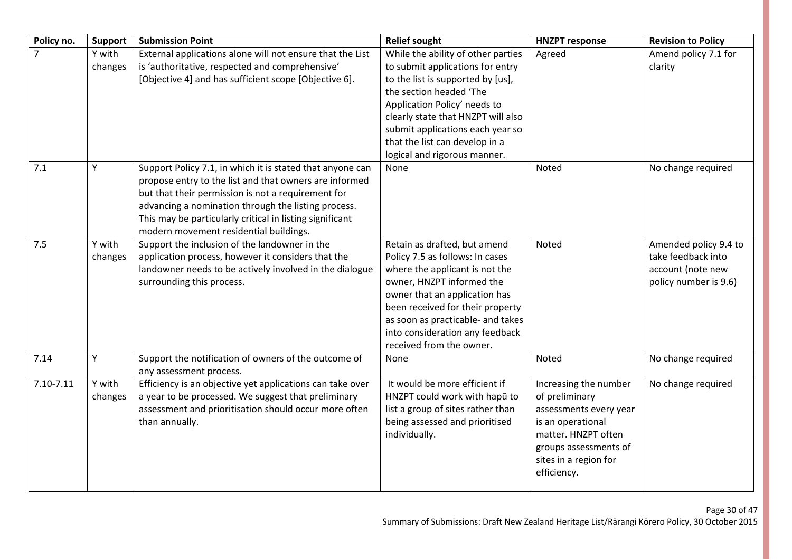| Policy no. | <b>Support</b>    | <b>Submission Point</b>                                                                                                                                                                                                                                                                                                                | <b>Relief sought</b>                                                                                                                                                                                                                                                                                               | <b>HNZPT response</b>                                                                                                                                                          | <b>Revision to Policy</b>                                                                 |
|------------|-------------------|----------------------------------------------------------------------------------------------------------------------------------------------------------------------------------------------------------------------------------------------------------------------------------------------------------------------------------------|--------------------------------------------------------------------------------------------------------------------------------------------------------------------------------------------------------------------------------------------------------------------------------------------------------------------|--------------------------------------------------------------------------------------------------------------------------------------------------------------------------------|-------------------------------------------------------------------------------------------|
|            | Y with<br>changes | External applications alone will not ensure that the List<br>is 'authoritative, respected and comprehensive'<br>[Objective 4] and has sufficient scope [Objective 6].                                                                                                                                                                  | While the ability of other parties<br>to submit applications for entry<br>to the list is supported by [us],<br>the section headed 'The<br>Application Policy' needs to<br>clearly state that HNZPT will also<br>submit applications each year so<br>that the list can develop in a<br>logical and rigorous manner. | Agreed                                                                                                                                                                         | Amend policy 7.1 for<br>clarity                                                           |
| 7.1        | Υ                 | Support Policy 7.1, in which it is stated that anyone can<br>propose entry to the list and that owners are informed<br>but that their permission is not a requirement for<br>advancing a nomination through the listing process.<br>This may be particularly critical in listing significant<br>modern movement residential buildings. | None                                                                                                                                                                                                                                                                                                               | Noted                                                                                                                                                                          | No change required                                                                        |
| 7.5        | Y with<br>changes | Support the inclusion of the landowner in the<br>application process, however it considers that the<br>landowner needs to be actively involved in the dialogue<br>surrounding this process.                                                                                                                                            | Retain as drafted, but amend<br>Policy 7.5 as follows: In cases<br>where the applicant is not the<br>owner, HNZPT informed the<br>owner that an application has<br>been received for their property<br>as soon as practicable- and takes<br>into consideration any feedback<br>received from the owner.            | Noted                                                                                                                                                                          | Amended policy 9.4 to<br>take feedback into<br>account (note new<br>policy number is 9.6) |
| 7.14       | Υ                 | Support the notification of owners of the outcome of<br>any assessment process.                                                                                                                                                                                                                                                        | None                                                                                                                                                                                                                                                                                                               | Noted                                                                                                                                                                          | No change required                                                                        |
| 7.10-7.11  | Y with<br>changes | Efficiency is an objective yet applications can take over<br>a year to be processed. We suggest that preliminary<br>assessment and prioritisation should occur more often<br>than annually.                                                                                                                                            | It would be more efficient if<br>HNZPT could work with hapū to<br>list a group of sites rather than<br>being assessed and prioritised<br>individually.                                                                                                                                                             | Increasing the number<br>of preliminary<br>assessments every year<br>is an operational<br>matter. HNZPT often<br>groups assessments of<br>sites in a region for<br>efficiency. | No change required                                                                        |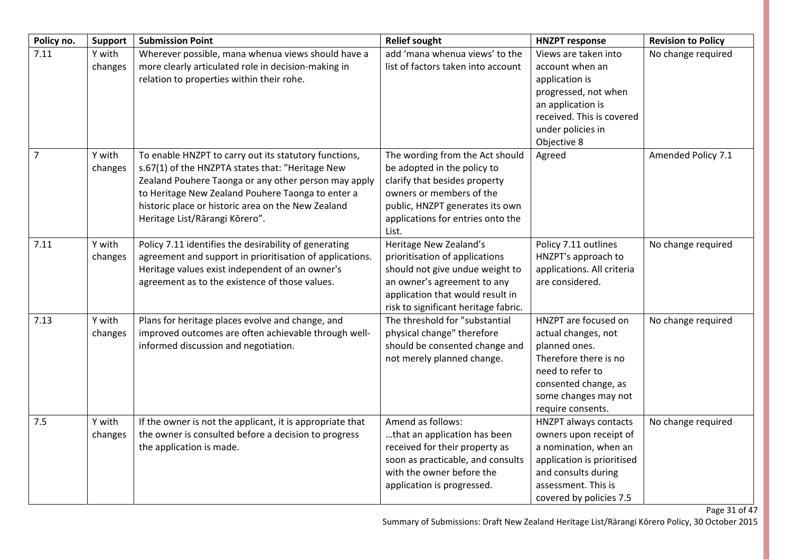| Policy no.     | <b>Support</b>    | <b>Submission Point</b>                                                                                                                                                                                                                                                                                        | <b>Relief sought</b>                                                                                                                                                                                         | <b>HNZPT response</b>                                                                                                                                                           | <b>Revision to Policy</b> |
|----------------|-------------------|----------------------------------------------------------------------------------------------------------------------------------------------------------------------------------------------------------------------------------------------------------------------------------------------------------------|--------------------------------------------------------------------------------------------------------------------------------------------------------------------------------------------------------------|---------------------------------------------------------------------------------------------------------------------------------------------------------------------------------|---------------------------|
| 7.11           | Y with<br>changes | Wherever possible, mana whenua views should have a<br>more clearly articulated role in decision-making in<br>relation to properties within their rohe.                                                                                                                                                         | add 'mana whenua views' to the<br>list of factors taken into account                                                                                                                                         | Views are taken into<br>account when an<br>application is<br>progressed, not when<br>an application is<br>received. This is covered<br>under policies in<br>Objective 8         | No change required        |
| $\overline{7}$ | Y with<br>changes | To enable HNZPT to carry out its statutory functions,<br>s.67(1) of the HNZPTA states that: "Heritage New<br>Zealand Pouhere Taonga or any other person may apply<br>to Heritage New Zealand Pouhere Taonga to enter a<br>historic place or historic area on the New Zealand<br>Heritage List/Rārangi Kōrero". | The wording from the Act should<br>be adopted in the policy to<br>clarify that besides property<br>owners or members of the<br>public, HNZPT generates its own<br>applications for entries onto the<br>List. | Agreed                                                                                                                                                                          | Amended Policy 7.1        |
| 7.11           | Y with<br>changes | Policy 7.11 identifies the desirability of generating<br>agreement and support in prioritisation of applications.<br>Heritage values exist independent of an owner's<br>agreement as to the existence of those values.                                                                                         | Heritage New Zealand's<br>prioritisation of applications<br>should not give undue weight to<br>an owner's agreement to any<br>application that would result in<br>risk to significant heritage fabric.       | Policy 7.11 outlines<br>HNZPT's approach to<br>applications. All criteria<br>are considered.                                                                                    | No change required        |
| 7.13           | Y with<br>changes | Plans for heritage places evolve and change, and<br>improved outcomes are often achievable through well-<br>informed discussion and negotiation.                                                                                                                                                               | The threshold for "substantial<br>physical change" therefore<br>should be consented change and<br>not merely planned change.                                                                                 | HNZPT are focused on<br>actual changes, not<br>planned ones.<br>Therefore there is no<br>need to refer to<br>consented change, as<br>some changes may not<br>require consents.  | No change required        |
| 7.5            | Y with<br>changes | If the owner is not the applicant, it is appropriate that<br>the owner is consulted before a decision to progress<br>the application is made.                                                                                                                                                                  | Amend as follows:<br>that an application has been<br>received for their property as<br>soon as practicable, and consults<br>with the owner before the<br>application is progressed.                          | HNZPT always contacts<br>owners upon receipt of<br>a nomination, when an<br>application is prioritised<br>and consults during<br>assessment. This is<br>covered by policies 7.5 | No change required        |

Page 31 of 47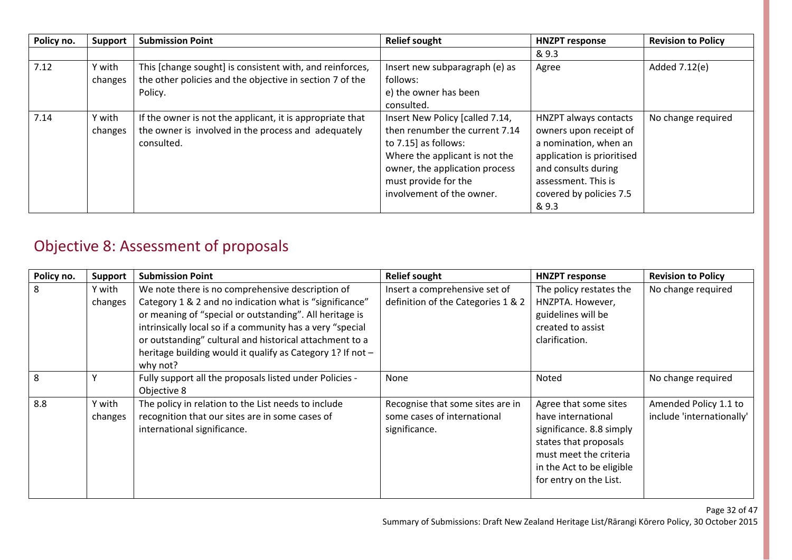| Policy no. | Support           | <b>Submission Point</b>                                                                                                         | <b>Relief sought</b>                                                                                                                                                                                                  | <b>HNZPT response</b>                                                                                                                                                                           | <b>Revision to Policy</b> |
|------------|-------------------|---------------------------------------------------------------------------------------------------------------------------------|-----------------------------------------------------------------------------------------------------------------------------------------------------------------------------------------------------------------------|-------------------------------------------------------------------------------------------------------------------------------------------------------------------------------------------------|---------------------------|
|            |                   |                                                                                                                                 |                                                                                                                                                                                                                       | & 9.3                                                                                                                                                                                           |                           |
| 7.12       | Y with<br>changes | This [change sought] is consistent with, and reinforces,<br>the other policies and the objective in section 7 of the<br>Policy. | Insert new subparagraph (e) as<br>follows:<br>e) the owner has been<br>consulted.                                                                                                                                     | Agree                                                                                                                                                                                           | Added 7.12(e)             |
| 7.14       | Y with<br>changes | If the owner is not the applicant, it is appropriate that<br>the owner is involved in the process and adequately<br>consulted.  | Insert New Policy [called 7.14,<br>then renumber the current 7.14<br>to $7.15$ ] as follows:<br>Where the applicant is not the<br>owner, the application process<br>must provide for the<br>involvement of the owner. | <b>HNZPT always contacts</b><br>owners upon receipt of<br>a nomination, when an<br>application is prioritised<br>and consults during<br>assessment. This is<br>covered by policies 7.5<br>& 9.3 | No change required        |

## Objective 8: Assessment of proposals

| Policy no. | <b>Support</b>    | <b>Submission Point</b>                                                                                                                                                                                                                                                                                                                                                  | <b>Relief sought</b>                                                             | <b>HNZPT response</b>                                                                                                                                                             | <b>Revision to Policy</b>                          |
|------------|-------------------|--------------------------------------------------------------------------------------------------------------------------------------------------------------------------------------------------------------------------------------------------------------------------------------------------------------------------------------------------------------------------|----------------------------------------------------------------------------------|-----------------------------------------------------------------------------------------------------------------------------------------------------------------------------------|----------------------------------------------------|
| 8          | Y with<br>changes | We note there is no comprehensive description of<br>Category 1 & 2 and no indication what is "significance"<br>or meaning of "special or outstanding". All heritage is<br>intrinsically local so if a community has a very "special<br>or outstanding" cultural and historical attachment to a<br>heritage building would it qualify as Category 1? If not -<br>why not? | Insert a comprehensive set of<br>definition of the Categories 1 & 2              | The policy restates the<br>HNZPTA. However,<br>guidelines will be<br>created to assist<br>clarification.                                                                          | No change required                                 |
| 8          |                   | Fully support all the proposals listed under Policies -<br>Objective 8                                                                                                                                                                                                                                                                                                   | None                                                                             | Noted                                                                                                                                                                             | No change required                                 |
| 8.8        | Y with<br>changes | The policy in relation to the List needs to include<br>recognition that our sites are in some cases of<br>international significance.                                                                                                                                                                                                                                    | Recognise that some sites are in<br>some cases of international<br>significance. | Agree that some sites<br>have international<br>significance. 8.8 simply<br>states that proposals<br>must meet the criteria<br>in the Act to be eligible<br>for entry on the List. | Amended Policy 1.1 to<br>include 'internationally' |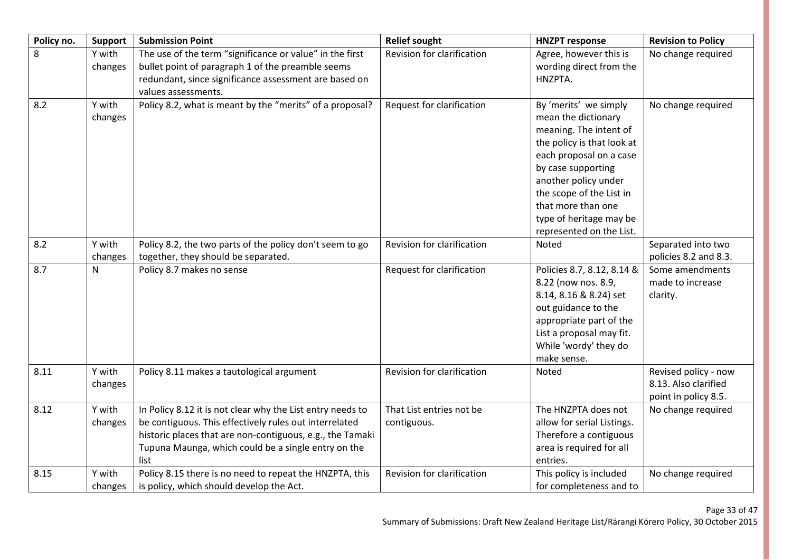| Policy no. | <b>Support</b>    | <b>Submission Point</b>                                                                                                                                                                                                                          | <b>Relief sought</b>                    | <b>HNZPT response</b>                                                                                                                                                                                                                                                                  | <b>Revision to Policy</b>                                            |
|------------|-------------------|--------------------------------------------------------------------------------------------------------------------------------------------------------------------------------------------------------------------------------------------------|-----------------------------------------|----------------------------------------------------------------------------------------------------------------------------------------------------------------------------------------------------------------------------------------------------------------------------------------|----------------------------------------------------------------------|
| 8          | Y with<br>changes | The use of the term "significance or value" in the first<br>bullet point of paragraph 1 of the preamble seems<br>redundant, since significance assessment are based on<br>values assessments.                                                    | Revision for clarification              | Agree, however this is<br>wording direct from the<br>HNZPTA.                                                                                                                                                                                                                           | No change required                                                   |
| 8.2        | Y with<br>changes | Policy 8.2, what is meant by the "merits" of a proposal?                                                                                                                                                                                         | Request for clarification               | By 'merits' we simply<br>mean the dictionary<br>meaning. The intent of<br>the policy is that look at<br>each proposal on a case<br>by case supporting<br>another policy under<br>the scope of the List in<br>that more than one<br>type of heritage may be<br>represented on the List. | No change required                                                   |
| 8.2        | Y with<br>changes | Policy 8.2, the two parts of the policy don't seem to go<br>together, they should be separated.                                                                                                                                                  | Revision for clarification              | Noted                                                                                                                                                                                                                                                                                  | Separated into two<br>policies 8.2 and 8.3.                          |
| 8.7        | N                 | Policy 8.7 makes no sense                                                                                                                                                                                                                        | Request for clarification               | Policies 8.7, 8.12, 8.14 &<br>8.22 (now nos. 8.9,<br>8.14, 8.16 & 8.24) set<br>out guidance to the<br>appropriate part of the<br>List a proposal may fit.<br>While 'wordy' they do<br>make sense.                                                                                      | Some amendments<br>made to increase<br>clarity.                      |
| 8.11       | Y with<br>changes | Policy 8.11 makes a tautological argument                                                                                                                                                                                                        | Revision for clarification              | Noted                                                                                                                                                                                                                                                                                  | Revised policy - now<br>8.13. Also clarified<br>point in policy 8.5. |
| 8.12       | Y with<br>changes | In Policy 8.12 it is not clear why the List entry needs to<br>be contiguous. This effectively rules out interrelated<br>historic places that are non-contiguous, e.g., the Tamaki<br>Tupuna Maunga, which could be a single entry on the<br>list | That List entries not be<br>contiguous. | The HNZPTA does not<br>allow for serial Listings.<br>Therefore a contiguous<br>area is required for all<br>entries.                                                                                                                                                                    | No change required                                                   |
| 8.15       | Y with<br>changes | Policy 8.15 there is no need to repeat the HNZPTA, this<br>is policy, which should develop the Act.                                                                                                                                              | Revision for clarification              | This policy is included<br>for completeness and to                                                                                                                                                                                                                                     | No change required                                                   |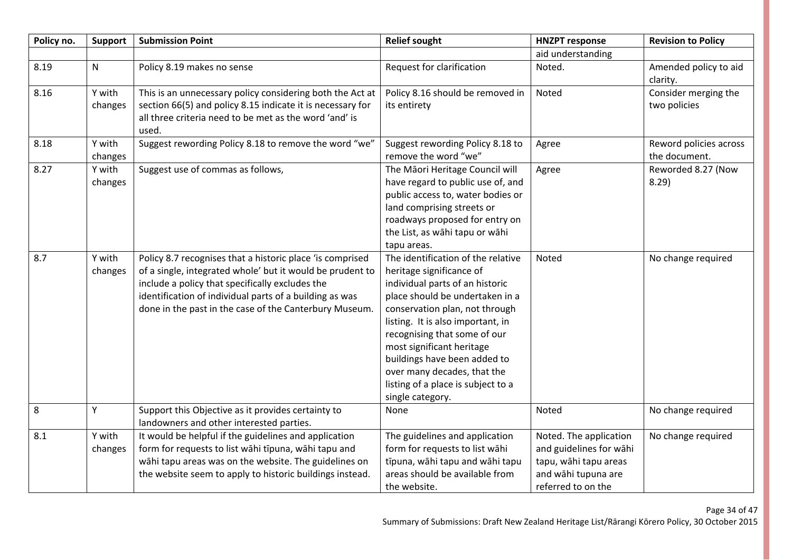| Policy no. | Support           | <b>Submission Point</b>                                                                                                                                                                                                                                                                        | <b>Relief sought</b>                                                                                                                                                                                                                                                                                                                                                                              | <b>HNZPT response</b>                                                                                                   | <b>Revision to Policy</b>               |
|------------|-------------------|------------------------------------------------------------------------------------------------------------------------------------------------------------------------------------------------------------------------------------------------------------------------------------------------|---------------------------------------------------------------------------------------------------------------------------------------------------------------------------------------------------------------------------------------------------------------------------------------------------------------------------------------------------------------------------------------------------|-------------------------------------------------------------------------------------------------------------------------|-----------------------------------------|
|            |                   |                                                                                                                                                                                                                                                                                                |                                                                                                                                                                                                                                                                                                                                                                                                   | aid understanding                                                                                                       |                                         |
| 8.19       | $\mathsf{N}$      | Policy 8.19 makes no sense                                                                                                                                                                                                                                                                     | Request for clarification                                                                                                                                                                                                                                                                                                                                                                         | Noted.                                                                                                                  | Amended policy to aid<br>clarity.       |
| 8.16       | Y with<br>changes | This is an unnecessary policy considering both the Act at<br>section 66(5) and policy 8.15 indicate it is necessary for<br>all three criteria need to be met as the word 'and' is<br>used.                                                                                                     | Policy 8.16 should be removed in<br>its entirety                                                                                                                                                                                                                                                                                                                                                  | Noted                                                                                                                   | Consider merging the<br>two policies    |
| 8.18       | Y with<br>changes | Suggest rewording Policy 8.18 to remove the word "we"                                                                                                                                                                                                                                          | Suggest rewording Policy 8.18 to<br>remove the word "we"                                                                                                                                                                                                                                                                                                                                          | Agree                                                                                                                   | Reword policies across<br>the document. |
| 8.27       | Y with<br>changes | Suggest use of commas as follows,                                                                                                                                                                                                                                                              | The Māori Heritage Council will<br>have regard to public use of, and<br>public access to, water bodies or<br>land comprising streets or<br>roadways proposed for entry on<br>the List, as wāhi tapu or wāhi<br>tapu areas.                                                                                                                                                                        | Agree                                                                                                                   | Reworded 8.27 (Now<br>8.29              |
| 8.7        | Y with<br>changes | Policy 8.7 recognises that a historic place 'is comprised<br>of a single, integrated whole' but it would be prudent to<br>include a policy that specifically excludes the<br>identification of individual parts of a building as was<br>done in the past in the case of the Canterbury Museum. | The identification of the relative<br>heritage significance of<br>individual parts of an historic<br>place should be undertaken in a<br>conservation plan, not through<br>listing. It is also important, in<br>recognising that some of our<br>most significant heritage<br>buildings have been added to<br>over many decades, that the<br>listing of a place is subject to a<br>single category. | Noted                                                                                                                   | No change required                      |
| $\,8\,$    | Y                 | Support this Objective as it provides certainty to<br>landowners and other interested parties.                                                                                                                                                                                                 | None                                                                                                                                                                                                                                                                                                                                                                                              | Noted                                                                                                                   | No change required                      |
| 8.1        | Y with<br>changes | It would be helpful if the guidelines and application<br>form for requests to list wāhi tīpuna, wāhi tapu and<br>wāhi tapu areas was on the website. The guidelines on<br>the website seem to apply to historic buildings instead.                                                             | The guidelines and application<br>form for requests to list wāhi<br>tīpuna, wāhi tapu and wāhi tapu<br>areas should be available from<br>the website.                                                                                                                                                                                                                                             | Noted. The application<br>and guidelines for wāhi<br>tapu, wāhi tapu areas<br>and wāhi tupuna are<br>referred to on the | No change required                      |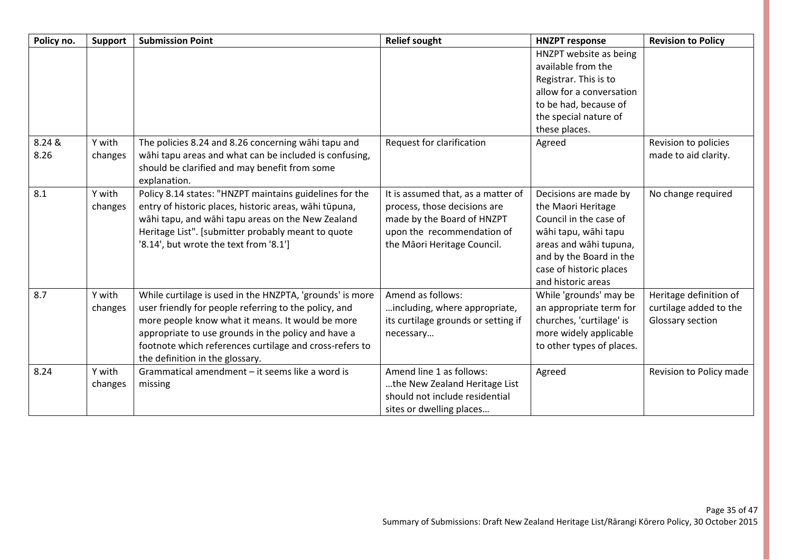| Policy no.     | <b>Support</b>    | <b>Submission Point</b>                                                                                                                                                                                                                                                                                                    | <b>Relief sought</b>                                                                                                                                          | <b>HNZPT response</b>                                                                                                                                                                               | <b>Revision to Policy</b>                                            |
|----------------|-------------------|----------------------------------------------------------------------------------------------------------------------------------------------------------------------------------------------------------------------------------------------------------------------------------------------------------------------------|---------------------------------------------------------------------------------------------------------------------------------------------------------------|-----------------------------------------------------------------------------------------------------------------------------------------------------------------------------------------------------|----------------------------------------------------------------------|
|                |                   |                                                                                                                                                                                                                                                                                                                            |                                                                                                                                                               | HNZPT website as being<br>available from the<br>Registrar. This is to<br>allow for a conversation<br>to be had, because of<br>the special nature of<br>these places.                                |                                                                      |
| 8.24 &<br>8.26 | Y with<br>changes | The policies 8.24 and 8.26 concerning wahi tapu and<br>wāhi tapu areas and what can be included is confusing,<br>should be clarified and may benefit from some<br>explanation.                                                                                                                                             | Request for clarification                                                                                                                                     | Agreed                                                                                                                                                                                              | Revision to policies<br>made to aid clarity.                         |
| 8.1            | Y with<br>changes | Policy 8.14 states: "HNZPT maintains guidelines for the<br>entry of historic places, historic areas, wāhi tūpuna,<br>wāhi tapu, and wāhi tapu areas on the New Zealand<br>Heritage List". [submitter probably meant to quote<br>'8.14', but wrote the text from '8.1']                                                     | It is assumed that, as a matter of<br>process, those decisions are<br>made by the Board of HNZPT<br>upon the recommendation of<br>the Māori Heritage Council. | Decisions are made by<br>the Maori Heritage<br>Council in the case of<br>wāhi tapu, wāhi tapu<br>areas and wāhi tupuna,<br>and by the Board in the<br>case of historic places<br>and historic areas | No change required                                                   |
| 8.7            | Y with<br>changes | While curtilage is used in the HNZPTA, 'grounds' is more<br>user friendly for people referring to the policy, and<br>more people know what it means. It would be more<br>appropriate to use grounds in the policy and have a<br>footnote which references curtilage and cross-refers to<br>the definition in the glossary. | Amend as follows:<br>including, where appropriate,<br>its curtilage grounds or setting if<br>necessary                                                        | While 'grounds' may be<br>an appropriate term for<br>churches, 'curtilage' is<br>more widely applicable<br>to other types of places.                                                                | Heritage definition of<br>curtilage added to the<br>Glossary section |
| 8.24           | Y with<br>changes | Grammatical amendment - it seems like a word is<br>missing                                                                                                                                                                                                                                                                 | Amend line 1 as follows:<br>the New Zealand Heritage List<br>should not include residential<br>sites or dwelling places                                       | Agreed                                                                                                                                                                                              | Revision to Policy made                                              |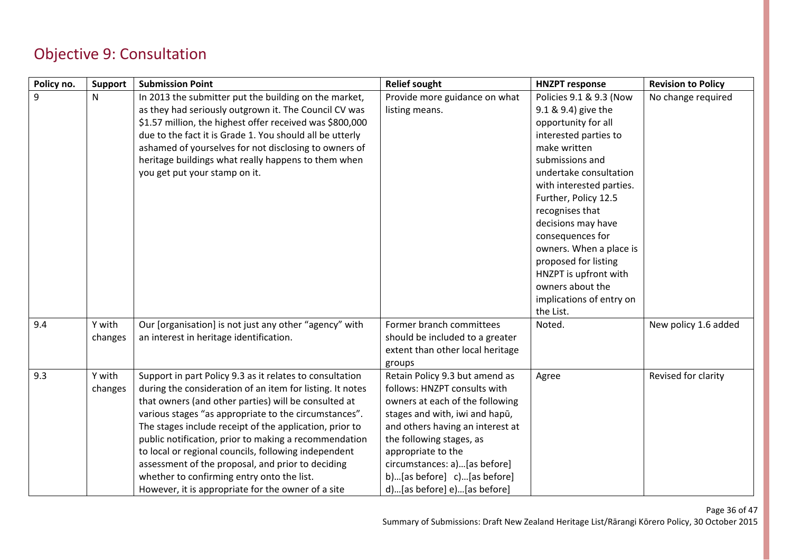### Objective 9: Consultation

| Policy no. | Support | <b>Submission Point</b>                                   | <b>Relief sought</b>             | <b>HNZPT response</b>    | <b>Revision to Policy</b> |
|------------|---------|-----------------------------------------------------------|----------------------------------|--------------------------|---------------------------|
| 9          | N       | In 2013 the submitter put the building on the market,     | Provide more guidance on what    | Policies 9.1 & 9.3 (Now  | No change required        |
|            |         | as they had seriously outgrown it. The Council CV was     | listing means.                   | 9.1 & 9.4) give the      |                           |
|            |         | \$1.57 million, the highest offer received was \$800,000  |                                  | opportunity for all      |                           |
|            |         | due to the fact it is Grade 1. You should all be utterly  |                                  | interested parties to    |                           |
|            |         | ashamed of yourselves for not disclosing to owners of     |                                  | make written             |                           |
|            |         | heritage buildings what really happens to them when       |                                  | submissions and          |                           |
|            |         | you get put your stamp on it.                             |                                  | undertake consultation   |                           |
|            |         |                                                           |                                  | with interested parties. |                           |
|            |         |                                                           |                                  | Further, Policy 12.5     |                           |
|            |         |                                                           |                                  | recognises that          |                           |
|            |         |                                                           |                                  | decisions may have       |                           |
|            |         |                                                           |                                  | consequences for         |                           |
|            |         |                                                           |                                  | owners. When a place is  |                           |
|            |         |                                                           |                                  | proposed for listing     |                           |
|            |         |                                                           |                                  | HNZPT is upfront with    |                           |
|            |         |                                                           |                                  | owners about the         |                           |
|            |         |                                                           |                                  | implications of entry on |                           |
|            |         |                                                           |                                  | the List.                |                           |
| 9.4        | Y with  | Our [organisation] is not just any other "agency" with    | Former branch committees         | Noted.                   | New policy 1.6 added      |
|            | changes | an interest in heritage identification.                   | should be included to a greater  |                          |                           |
|            |         |                                                           | extent than other local heritage |                          |                           |
|            |         |                                                           | groups                           |                          |                           |
| 9.3        | Y with  | Support in part Policy 9.3 as it relates to consultation  | Retain Policy 9.3 but amend as   | Agree                    | Revised for clarity       |
|            | changes | during the consideration of an item for listing. It notes | follows: HNZPT consults with     |                          |                           |
|            |         | that owners (and other parties) will be consulted at      | owners at each of the following  |                          |                           |
|            |         | various stages "as appropriate to the circumstances".     | stages and with, iwi and hapū,   |                          |                           |
|            |         | The stages include receipt of the application, prior to   | and others having an interest at |                          |                           |
|            |         | public notification, prior to making a recommendation     | the following stages, as         |                          |                           |
|            |         | to local or regional councils, following independent      | appropriate to the               |                          |                           |
|            |         | assessment of the proposal, and prior to deciding         | circumstances: a)[as before]     |                          |                           |
|            |         | whether to confirming entry onto the list.                | b)[as before] c)[as before]      |                          |                           |
|            |         | However, it is appropriate for the owner of a site        | d)[as before] e)[as before]      |                          |                           |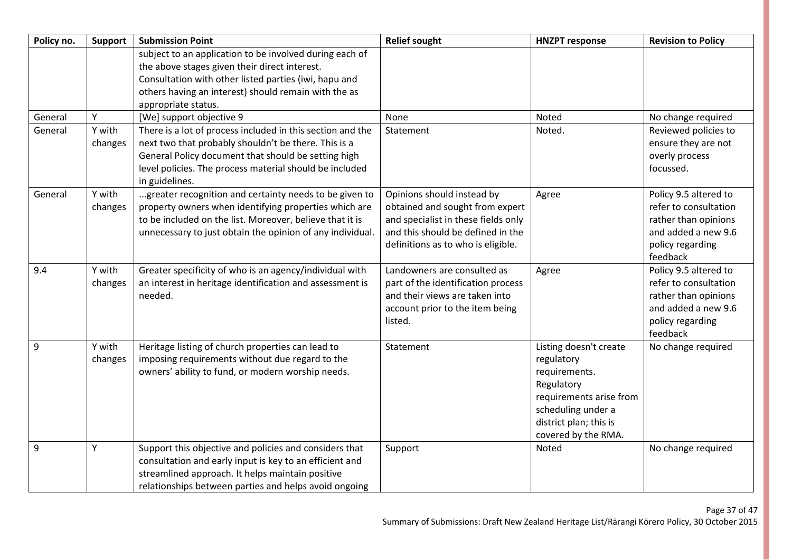| Policy no. | <b>Support</b> | <b>Submission Point</b>                                                                                | <b>Relief sought</b>                | <b>HNZPT response</b>   | <b>Revision to Policy</b> |
|------------|----------------|--------------------------------------------------------------------------------------------------------|-------------------------------------|-------------------------|---------------------------|
|            |                | subject to an application to be involved during each of                                                |                                     |                         |                           |
|            |                | the above stages given their direct interest.<br>Consultation with other listed parties (iwi, hapu and |                                     |                         |                           |
|            |                |                                                                                                        |                                     |                         |                           |
|            |                | others having an interest) should remain with the as                                                   |                                     |                         |                           |
|            |                | appropriate status.                                                                                    |                                     |                         |                           |
| General    | Y              | [We] support objective 9                                                                               | None                                | Noted                   | No change required        |
| General    | Y with         | There is a lot of process included in this section and the                                             | Statement                           | Noted.                  | Reviewed policies to      |
|            | changes        | next two that probably shouldn't be there. This is a                                                   |                                     |                         | ensure they are not       |
|            |                | General Policy document that should be setting high                                                    |                                     |                         | overly process            |
|            |                | level policies. The process material should be included                                                |                                     |                         | focussed.                 |
|            |                | in guidelines.                                                                                         |                                     |                         |                           |
| General    | Y with         | greater recognition and certainty needs to be given to                                                 | Opinions should instead by          | Agree                   | Policy 9.5 altered to     |
|            | changes        | property owners when identifying properties which are                                                  | obtained and sought from expert     |                         | refer to consultation     |
|            |                | to be included on the list. Moreover, believe that it is                                               | and specialist in these fields only |                         | rather than opinions      |
|            |                | unnecessary to just obtain the opinion of any individual.                                              | and this should be defined in the   |                         | and added a new 9.6       |
|            |                |                                                                                                        | definitions as to who is eligible.  |                         | policy regarding          |
|            |                |                                                                                                        |                                     |                         | feedback                  |
| 9.4        | Y with         | Greater specificity of who is an agency/individual with                                                | Landowners are consulted as         | Agree                   | Policy 9.5 altered to     |
|            | changes        | an interest in heritage identification and assessment is                                               | part of the identification process  |                         | refer to consultation     |
|            |                | needed.                                                                                                | and their views are taken into      |                         | rather than opinions      |
|            |                |                                                                                                        | account prior to the item being     |                         | and added a new 9.6       |
|            |                |                                                                                                        | listed.                             |                         | policy regarding          |
|            |                |                                                                                                        |                                     |                         | feedback                  |
| 9          | Y with         | Heritage listing of church properties can lead to                                                      | Statement                           | Listing doesn't create  | No change required        |
|            | changes        | imposing requirements without due regard to the                                                        |                                     | regulatory              |                           |
|            |                | owners' ability to fund, or modern worship needs.                                                      |                                     | requirements.           |                           |
|            |                |                                                                                                        |                                     | Regulatory              |                           |
|            |                |                                                                                                        |                                     | requirements arise from |                           |
|            |                |                                                                                                        |                                     | scheduling under a      |                           |
|            |                |                                                                                                        |                                     | district plan; this is  |                           |
|            |                |                                                                                                        |                                     | covered by the RMA.     |                           |
| 9          | Υ              | Support this objective and policies and considers that                                                 | Support                             | Noted                   | No change required        |
|            |                | consultation and early input is key to an efficient and                                                |                                     |                         |                           |
|            |                | streamlined approach. It helps maintain positive                                                       |                                     |                         |                           |
|            |                | relationships between parties and helps avoid ongoing                                                  |                                     |                         |                           |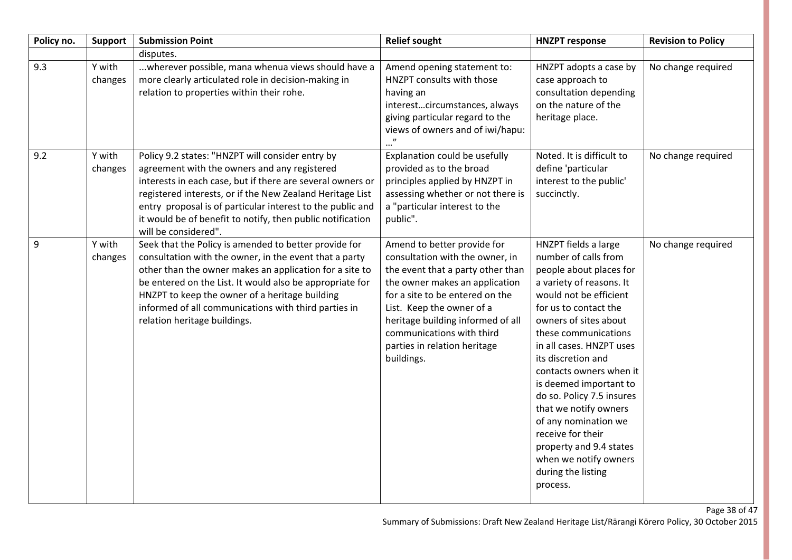| Policy no. | <b>Support</b>    | <b>Submission Point</b>                                                                                                                                                                                                                                                                                                                                                          | <b>Relief sought</b>                                                                                                                                                                                                                                                                                                  | <b>HNZPT response</b>                                                                                                                                                                                                                                                                                                                                                                                                                                                                                   | <b>Revision to Policy</b> |
|------------|-------------------|----------------------------------------------------------------------------------------------------------------------------------------------------------------------------------------------------------------------------------------------------------------------------------------------------------------------------------------------------------------------------------|-----------------------------------------------------------------------------------------------------------------------------------------------------------------------------------------------------------------------------------------------------------------------------------------------------------------------|---------------------------------------------------------------------------------------------------------------------------------------------------------------------------------------------------------------------------------------------------------------------------------------------------------------------------------------------------------------------------------------------------------------------------------------------------------------------------------------------------------|---------------------------|
|            |                   | disputes.                                                                                                                                                                                                                                                                                                                                                                        |                                                                                                                                                                                                                                                                                                                       |                                                                                                                                                                                                                                                                                                                                                                                                                                                                                                         |                           |
| 9.3        | Y with<br>changes | wherever possible, mana whenua views should have a<br>more clearly articulated role in decision-making in<br>relation to properties within their rohe.                                                                                                                                                                                                                           | Amend opening statement to:<br>HNZPT consults with those<br>having an<br>interestcircumstances, always<br>giving particular regard to the<br>views of owners and of iwi/hapu:                                                                                                                                         | HNZPT adopts a case by<br>case approach to<br>consultation depending<br>on the nature of the<br>heritage place.                                                                                                                                                                                                                                                                                                                                                                                         | No change required        |
| 9.2        | Y with<br>changes | Policy 9.2 states: "HNZPT will consider entry by<br>agreement with the owners and any registered<br>interests in each case, but if there are several owners or<br>registered interests, or if the New Zealand Heritage List<br>entry proposal is of particular interest to the public and<br>it would be of benefit to notify, then public notification<br>will be considered".  | Explanation could be usefully<br>provided as to the broad<br>principles applied by HNZPT in<br>assessing whether or not there is<br>a "particular interest to the<br>public".                                                                                                                                         | Noted. It is difficult to<br>define 'particular<br>interest to the public'<br>succinctly.                                                                                                                                                                                                                                                                                                                                                                                                               | No change required        |
| 9          | Y with<br>changes | Seek that the Policy is amended to better provide for<br>consultation with the owner, in the event that a party<br>other than the owner makes an application for a site to<br>be entered on the List. It would also be appropriate for<br>HNZPT to keep the owner of a heritage building<br>informed of all communications with third parties in<br>relation heritage buildings. | Amend to better provide for<br>consultation with the owner, in<br>the event that a party other than<br>the owner makes an application<br>for a site to be entered on the<br>List. Keep the owner of a<br>heritage building informed of all<br>communications with third<br>parties in relation heritage<br>buildings. | HNZPT fields a large<br>number of calls from<br>people about places for<br>a variety of reasons. It<br>would not be efficient<br>for us to contact the<br>owners of sites about<br>these communications<br>in all cases. HNZPT uses<br>its discretion and<br>contacts owners when it<br>is deemed important to<br>do so. Policy 7.5 insures<br>that we notify owners<br>of any nomination we<br>receive for their<br>property and 9.4 states<br>when we notify owners<br>during the listing<br>process. | No change required        |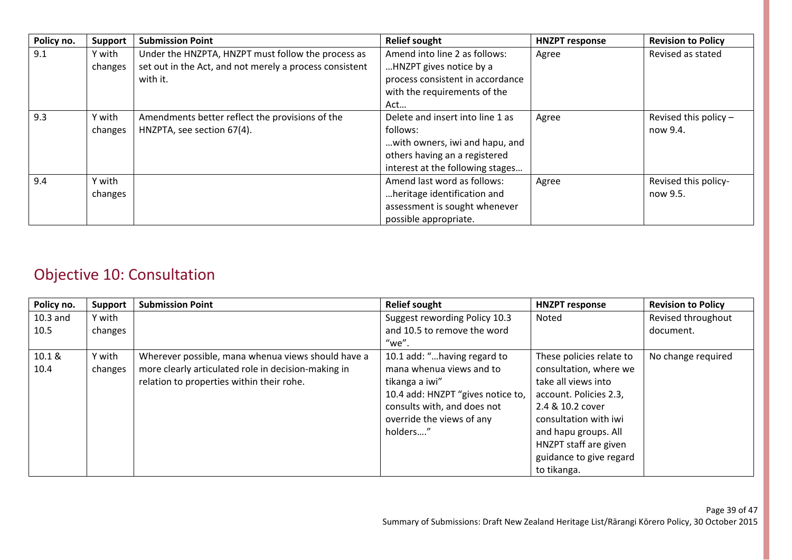| Policy no. | <b>Support</b> | <b>Submission Point</b>                                 | <b>Relief sought</b>             | <b>HNZPT response</b> | <b>Revision to Policy</b> |
|------------|----------------|---------------------------------------------------------|----------------------------------|-----------------------|---------------------------|
| 9.1        | Y with         | Under the HNZPTA, HNZPT must follow the process as      | Amend into line 2 as follows:    | Agree                 | Revised as stated         |
|            | changes        | set out in the Act, and not merely a process consistent | HNZPT gives notice by a          |                       |                           |
|            |                | with it.                                                | process consistent in accordance |                       |                           |
|            |                |                                                         | with the requirements of the     |                       |                           |
|            |                |                                                         | Act                              |                       |                           |
| 9.3        | Y with         | Amendments better reflect the provisions of the         | Delete and insert into line 1 as | Agree                 | Revised this policy $-$   |
|            | changes        | HNZPTA, see section 67(4).                              | follows:                         |                       | now 9.4.                  |
|            |                |                                                         | with owners, iwi and hapu, and   |                       |                           |
|            |                |                                                         | others having an a registered    |                       |                           |
|            |                |                                                         | interest at the following stages |                       |                           |
| 9.4        | Y with         |                                                         | Amend last word as follows:      | Agree                 | Revised this policy-      |
|            | changes        |                                                         | heritage identification and      |                       | now 9.5.                  |
|            |                |                                                         | assessment is sought whenever    |                       |                           |
|            |                |                                                         | possible appropriate.            |                       |                           |

### Objective 10: Consultation

| Policy no. | <b>Support</b> | <b>Submission Point</b>                             | <b>Relief sought</b>              | <b>HNZPT response</b>    | <b>Revision to Policy</b> |
|------------|----------------|-----------------------------------------------------|-----------------------------------|--------------------------|---------------------------|
| $10.3$ and | Y with         |                                                     | Suggest rewording Policy 10.3     | Noted                    | Revised throughout        |
| 10.5       | changes        |                                                     | and 10.5 to remove the word       |                          | document.                 |
|            |                |                                                     | "we".                             |                          |                           |
| 10.1 &     | Y with         | Wherever possible, mana whenua views should have a  | 10.1 add: "having regard to       | These policies relate to | No change required        |
| 10.4       | changes        | more clearly articulated role in decision-making in | mana whenua views and to          | consultation, where we   |                           |
|            |                | relation to properties within their rohe.           | tikanga a iwi"                    | take all views into      |                           |
|            |                |                                                     | 10.4 add: HNZPT "gives notice to, | account. Policies 2.3,   |                           |
|            |                |                                                     | consults with, and does not       | 2.4 & 10.2 cover         |                           |
|            |                |                                                     | override the views of any         | consultation with iwi    |                           |
|            |                |                                                     | holders"                          | and hapu groups. All     |                           |
|            |                |                                                     |                                   | HNZPT staff are given    |                           |
|            |                |                                                     |                                   | guidance to give regard  |                           |
|            |                |                                                     |                                   | to tikanga.              |                           |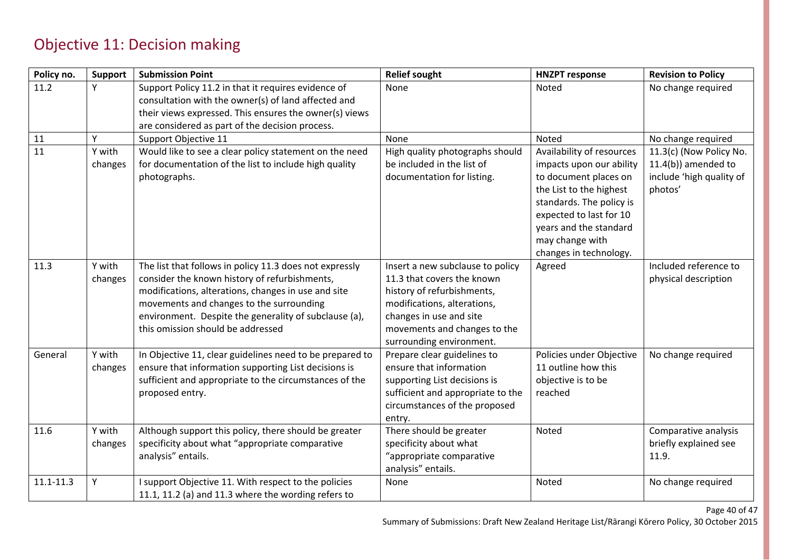### Objective 11: Decision making

| Policy no.    | <b>Support</b>    | <b>Submission Point</b>                                                                                                                                                                                                                                                                                   | <b>Relief sought</b>                                                                                                                                                                                               | <b>HNZPT response</b>                                                                                                                                                                                                                   | <b>Revision to Policy</b>                                                                |
|---------------|-------------------|-----------------------------------------------------------------------------------------------------------------------------------------------------------------------------------------------------------------------------------------------------------------------------------------------------------|--------------------------------------------------------------------------------------------------------------------------------------------------------------------------------------------------------------------|-----------------------------------------------------------------------------------------------------------------------------------------------------------------------------------------------------------------------------------------|------------------------------------------------------------------------------------------|
| 11.2          | Y                 | Support Policy 11.2 in that it requires evidence of<br>consultation with the owner(s) of land affected and<br>their views expressed. This ensures the owner(s) views<br>are considered as part of the decision process.                                                                                   | None                                                                                                                                                                                                               | Noted                                                                                                                                                                                                                                   | No change required                                                                       |
| 11            | Υ                 | Support Objective 11                                                                                                                                                                                                                                                                                      | None                                                                                                                                                                                                               | Noted                                                                                                                                                                                                                                   | No change required                                                                       |
| 11            | Y with<br>changes | Would like to see a clear policy statement on the need<br>for documentation of the list to include high quality<br>photographs.                                                                                                                                                                           | High quality photographs should<br>be included in the list of<br>documentation for listing.                                                                                                                        | Availability of resources<br>impacts upon our ability<br>to document places on<br>the List to the highest<br>standards. The policy is<br>expected to last for 10<br>years and the standard<br>may change with<br>changes in technology. | 11.3(c) (Now Policy No.<br>$11.4(b)$ ) amended to<br>include 'high quality of<br>photos' |
| 11.3          | Y with<br>changes | The list that follows in policy 11.3 does not expressly<br>consider the known history of refurbishments,<br>modifications, alterations, changes in use and site<br>movements and changes to the surrounding<br>environment. Despite the generality of subclause (a),<br>this omission should be addressed | Insert a new subclause to policy<br>11.3 that covers the known<br>history of refurbishments,<br>modifications, alterations,<br>changes in use and site<br>movements and changes to the<br>surrounding environment. | Agreed                                                                                                                                                                                                                                  | Included reference to<br>physical description                                            |
| General       | Y with<br>changes | In Objective 11, clear guidelines need to be prepared to<br>ensure that information supporting List decisions is<br>sufficient and appropriate to the circumstances of the<br>proposed entry.                                                                                                             | Prepare clear guidelines to<br>ensure that information<br>supporting List decisions is<br>sufficient and appropriate to the<br>circumstances of the proposed<br>entry.                                             | Policies under Objective<br>11 outline how this<br>objective is to be<br>reached                                                                                                                                                        | No change required                                                                       |
| 11.6          | Y with<br>changes | Although support this policy, there should be greater<br>specificity about what "appropriate comparative<br>analysis" entails.                                                                                                                                                                            | There should be greater<br>specificity about what<br>"appropriate comparative<br>analysis" entails.                                                                                                                | Noted                                                                                                                                                                                                                                   | Comparative analysis<br>briefly explained see<br>11.9.                                   |
| $11.1 - 11.3$ | Υ                 | support Objective 11. With respect to the policies<br>11.1, 11.2 (a) and 11.3 where the wording refers to                                                                                                                                                                                                 | None                                                                                                                                                                                                               | Noted                                                                                                                                                                                                                                   | No change required                                                                       |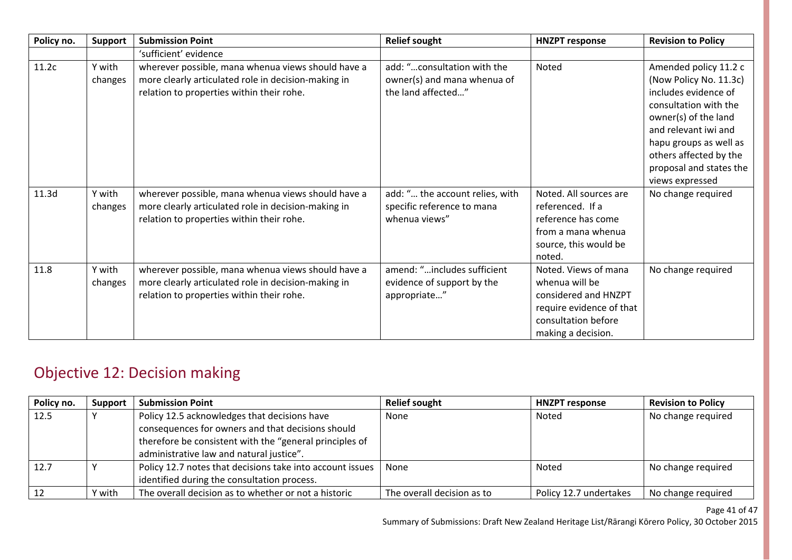| Policy no. | <b>Support</b>    | <b>Submission Point</b>                                                                                                                                | <b>Relief sought</b>                                                             | <b>HNZPT response</b>                                                                                                                   | <b>Revision to Policy</b>                                                                                                                                                                                                                          |
|------------|-------------------|--------------------------------------------------------------------------------------------------------------------------------------------------------|----------------------------------------------------------------------------------|-----------------------------------------------------------------------------------------------------------------------------------------|----------------------------------------------------------------------------------------------------------------------------------------------------------------------------------------------------------------------------------------------------|
|            |                   | 'sufficient' evidence                                                                                                                                  |                                                                                  |                                                                                                                                         |                                                                                                                                                                                                                                                    |
| 11.2c      | Y with<br>changes | wherever possible, mana whenua views should have a<br>more clearly articulated role in decision-making in<br>relation to properties within their rohe. | add: "consultation with the<br>owner(s) and mana whenua of<br>the land affected" | Noted                                                                                                                                   | Amended policy 11.2 c<br>(Now Policy No. 11.3c)<br>includes evidence of<br>consultation with the<br>owner(s) of the land<br>and relevant iwi and<br>hapu groups as well as<br>others affected by the<br>proposal and states the<br>views expressed |
| 11.3d      | Y with<br>changes | wherever possible, mana whenua views should have a<br>more clearly articulated role in decision-making in<br>relation to properties within their rohe. | add: " the account relies, with<br>specific reference to mana<br>whenua views"   | Noted. All sources are<br>referenced. If a<br>reference has come<br>from a mana whenua<br>source, this would be<br>noted.               | No change required                                                                                                                                                                                                                                 |
| 11.8       | Y with<br>changes | wherever possible, mana whenua views should have a<br>more clearly articulated role in decision-making in<br>relation to properties within their rohe. | amend: "includes sufficient<br>evidence of support by the<br>appropriate"        | Noted. Views of mana<br>whenua will be<br>considered and HNZPT<br>require evidence of that<br>consultation before<br>making a decision. | No change required                                                                                                                                                                                                                                 |

## Objective 12: Decision making

| Policy no. | <b>Support</b> | <b>Submission Point</b>                                                                                                                                                                                  | <b>Relief sought</b>       | <b>HNZPT response</b>  | <b>Revision to Policy</b> |
|------------|----------------|----------------------------------------------------------------------------------------------------------------------------------------------------------------------------------------------------------|----------------------------|------------------------|---------------------------|
| 12.5       |                | Policy 12.5 acknowledges that decisions have<br>consequences for owners and that decisions should<br>therefore be consistent with the "general principles of<br>administrative law and natural justice". | None                       | Noted                  | No change required        |
| 12.7       |                | Policy 12.7 notes that decisions take into account issues<br>identified during the consultation process.                                                                                                 | None                       | Noted                  | No change required        |
|            | Y with         | The overall decision as to whether or not a historic                                                                                                                                                     | The overall decision as to | Policy 12.7 undertakes | No change required        |

Page 41 of 47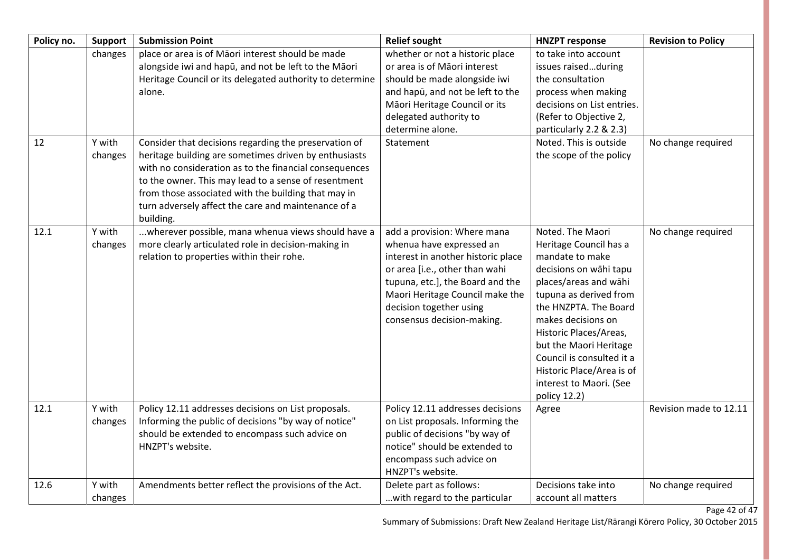| Policy no. | <b>Support</b>    | <b>Submission Point</b>                                                                                                                                                                                                                                                                            | <b>Relief sought</b>                                                                                                                                                                                                                                            | <b>HNZPT response</b>                                                                                                                                                                                                                                                                                                                              | <b>Revision to Policy</b> |
|------------|-------------------|----------------------------------------------------------------------------------------------------------------------------------------------------------------------------------------------------------------------------------------------------------------------------------------------------|-----------------------------------------------------------------------------------------------------------------------------------------------------------------------------------------------------------------------------------------------------------------|----------------------------------------------------------------------------------------------------------------------------------------------------------------------------------------------------------------------------------------------------------------------------------------------------------------------------------------------------|---------------------------|
| 12         | changes<br>Y with | place or area is of Māori interest should be made<br>alongside iwi and hapū, and not be left to the Māori<br>Heritage Council or its delegated authority to determine<br>alone.<br>Consider that decisions regarding the preservation of                                                           | whether or not a historic place<br>or area is of Māori interest<br>should be made alongside iwi<br>and hapū, and not be left to the<br>Māori Heritage Council or its<br>delegated authority to<br>determine alone.<br>Statement                                 | to take into account<br>issues raisedduring<br>the consultation<br>process when making<br>decisions on List entries.<br>(Refer to Objective 2,<br>particularly 2.2 & 2.3)<br>Noted. This is outside                                                                                                                                                | No change required        |
|            | changes           | heritage building are sometimes driven by enthusiasts<br>with no consideration as to the financial consequences<br>to the owner. This may lead to a sense of resentment<br>from those associated with the building that may in<br>turn adversely affect the care and maintenance of a<br>building. |                                                                                                                                                                                                                                                                 | the scope of the policy                                                                                                                                                                                                                                                                                                                            |                           |
| 12.1       | Y with<br>changes | wherever possible, mana whenua views should have a<br>more clearly articulated role in decision-making in<br>relation to properties within their rohe.                                                                                                                                             | add a provision: Where mana<br>whenua have expressed an<br>interest in another historic place<br>or area [i.e., other than wahi<br>tupuna, etc.], the Board and the<br>Maori Heritage Council make the<br>decision together using<br>consensus decision-making. | Noted. The Maori<br>Heritage Council has a<br>mandate to make<br>decisions on wāhi tapu<br>places/areas and wāhi<br>tupuna as derived from<br>the HNZPTA. The Board<br>makes decisions on<br>Historic Places/Areas,<br>but the Maori Heritage<br>Council is consulted it a<br>Historic Place/Area is of<br>interest to Maori. (See<br>policy 12.2) | No change required        |
| 12.1       | Y with<br>changes | Policy 12.11 addresses decisions on List proposals.<br>Informing the public of decisions "by way of notice"<br>should be extended to encompass such advice on<br>HNZPT's website.                                                                                                                  | Policy 12.11 addresses decisions<br>on List proposals. Informing the<br>public of decisions "by way of<br>notice" should be extended to<br>encompass such advice on<br>HNZPT's website.                                                                         | Agree                                                                                                                                                                                                                                                                                                                                              | Revision made to 12.11    |
| 12.6       | Y with<br>changes | Amendments better reflect the provisions of the Act.                                                                                                                                                                                                                                               | Delete part as follows:<br>with regard to the particular                                                                                                                                                                                                        | Decisions take into<br>account all matters                                                                                                                                                                                                                                                                                                         | No change required        |

Page 42 of 47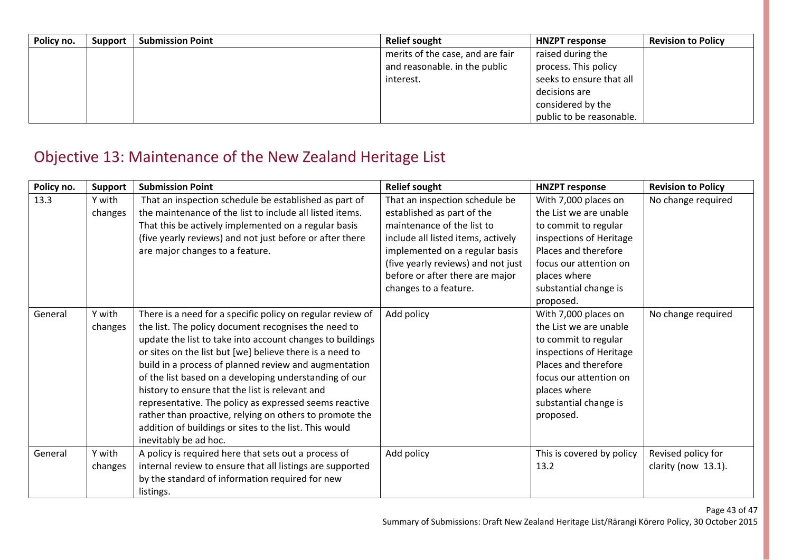| Policy no. | <b>Support</b> | <b>Submission Point</b> | <b>Relief sought</b>             | <b>HNZPT response</b>    | <b>Revision to Policy</b> |
|------------|----------------|-------------------------|----------------------------------|--------------------------|---------------------------|
|            |                |                         | merits of the case, and are fair | raised during the        |                           |
|            |                |                         | and reasonable. in the public    | process. This policy     |                           |
|            |                |                         | interest.                        | seeks to ensure that all |                           |
|            |                |                         |                                  | decisions are            |                           |
|            |                |                         |                                  | considered by the        |                           |
|            |                |                         |                                  | public to be reasonable. |                           |

### Objective 13: Maintenance of the New Zealand Heritage List

| Policy no. | <b>Support</b> | <b>Submission Point</b>                                    | <b>Relief sought</b>               | <b>HNZPT response</b>     | <b>Revision to Policy</b> |
|------------|----------------|------------------------------------------------------------|------------------------------------|---------------------------|---------------------------|
| 13.3       | Y with         | That an inspection schedule be established as part of      | That an inspection schedule be     | With 7,000 places on      | No change required        |
|            | changes        | the maintenance of the list to include all listed items.   | established as part of the         | the List we are unable    |                           |
|            |                | That this be actively implemented on a regular basis       | maintenance of the list to         | to commit to regular      |                           |
|            |                | (five yearly reviews) and not just before or after there   | include all listed items, actively | inspections of Heritage   |                           |
|            |                | are major changes to a feature.                            | implemented on a regular basis     | Places and therefore      |                           |
|            |                |                                                            | (five yearly reviews) and not just | focus our attention on    |                           |
|            |                |                                                            | before or after there are major    | places where              |                           |
|            |                |                                                            | changes to a feature.              | substantial change is     |                           |
|            |                |                                                            |                                    | proposed.                 |                           |
| General    | Y with         | There is a need for a specific policy on regular review of | Add policy                         | With 7,000 places on      | No change required        |
|            | changes        | the list. The policy document recognises the need to       |                                    | the List we are unable    |                           |
|            |                | update the list to take into account changes to buildings  |                                    | to commit to regular      |                           |
|            |                | or sites on the list but [we] believe there is a need to   |                                    | inspections of Heritage   |                           |
|            |                | build in a process of planned review and augmentation      |                                    | Places and therefore      |                           |
|            |                | of the list based on a developing understanding of our     |                                    | focus our attention on    |                           |
|            |                | history to ensure that the list is relevant and            |                                    | places where              |                           |
|            |                | representative. The policy as expressed seems reactive     |                                    | substantial change is     |                           |
|            |                | rather than proactive, relying on others to promote the    |                                    | proposed.                 |                           |
|            |                | addition of buildings or sites to the list. This would     |                                    |                           |                           |
|            |                | inevitably be ad hoc.                                      |                                    |                           |                           |
| General    | Y with         | A policy is required here that sets out a process of       | Add policy                         | This is covered by policy | Revised policy for        |
|            | changes        | internal review to ensure that all listings are supported  |                                    | 13.2                      | clarity (now 13.1).       |
|            |                | by the standard of information required for new            |                                    |                           |                           |
|            |                | listings.                                                  |                                    |                           |                           |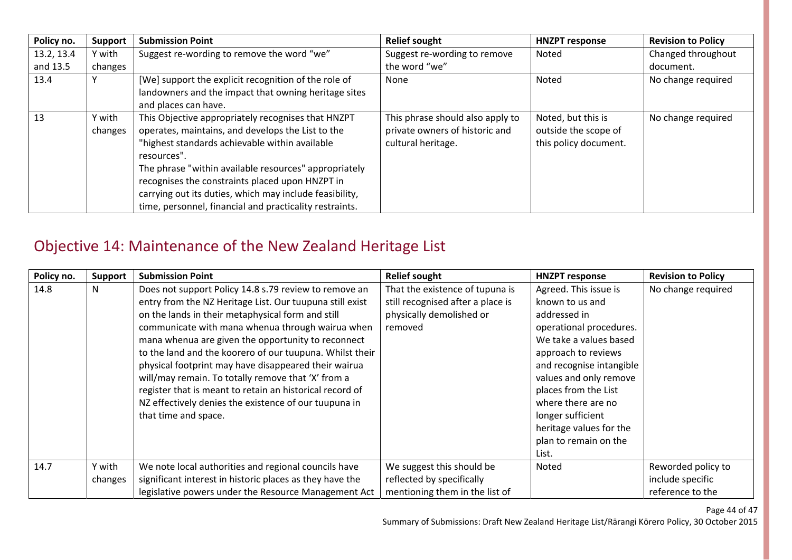| Policy no. | <b>Support</b>    | <b>Submission Point</b>                                                                                                                                                                                                                                                                                                                                                                                    | <b>Relief sought</b>                                                                     | <b>HNZPT response</b>                                               | <b>Revision to Policy</b> |
|------------|-------------------|------------------------------------------------------------------------------------------------------------------------------------------------------------------------------------------------------------------------------------------------------------------------------------------------------------------------------------------------------------------------------------------------------------|------------------------------------------------------------------------------------------|---------------------------------------------------------------------|---------------------------|
| 13.2, 13.4 | Y with            | Suggest re-wording to remove the word "we"                                                                                                                                                                                                                                                                                                                                                                 | Suggest re-wording to remove                                                             | Noted                                                               | Changed throughout        |
| and 13.5   | changes           |                                                                                                                                                                                                                                                                                                                                                                                                            | the word "we"                                                                            |                                                                     | document.                 |
| 13.4       |                   | [We] support the explicit recognition of the role of<br>landowners and the impact that owning heritage sites<br>and places can have.                                                                                                                                                                                                                                                                       | None                                                                                     | Noted                                                               | No change required        |
| 13         | Y with<br>changes | This Objective appropriately recognises that HNZPT<br>operates, maintains, and develops the List to the<br>"highest standards achievable within available<br>resources".<br>The phrase "within available resources" appropriately<br>recognises the constraints placed upon HNZPT in<br>carrying out its duties, which may include feasibility,<br>time, personnel, financial and practicality restraints. | This phrase should also apply to<br>private owners of historic and<br>cultural heritage. | Noted, but this is<br>outside the scope of<br>this policy document. | No change required        |

### Objective 14: Maintenance of the New Zealand Heritage List

| Policy no. | <b>Support</b> | <b>Submission Point</b>                                  | <b>Relief sought</b>              | <b>HNZPT response</b>    | <b>Revision to Policy</b> |
|------------|----------------|----------------------------------------------------------|-----------------------------------|--------------------------|---------------------------|
| 14.8       | N              | Does not support Policy 14.8 s.79 review to remove an    | That the existence of tupuna is   | Agreed. This issue is    | No change required        |
|            |                | entry from the NZ Heritage List. Our tuupuna still exist | still recognised after a place is | known to us and          |                           |
|            |                | on the lands in their metaphysical form and still        | physically demolished or          | addressed in             |                           |
|            |                | communicate with mana whenua through wairua when         | removed                           | operational procedures.  |                           |
|            |                | mana whenua are given the opportunity to reconnect       |                                   | We take a values based   |                           |
|            |                | to the land and the koorero of our tuupuna. Whilst their |                                   | approach to reviews      |                           |
|            |                | physical footprint may have disappeared their wairua     |                                   | and recognise intangible |                           |
|            |                | will/may remain. To totally remove that 'X' from a       |                                   | values and only remove   |                           |
|            |                | register that is meant to retain an historical record of |                                   | places from the List     |                           |
|            |                | NZ effectively denies the existence of our tuupuna in    |                                   | where there are no       |                           |
|            |                | that time and space.                                     |                                   | longer sufficient        |                           |
|            |                |                                                          |                                   | heritage values for the  |                           |
|            |                |                                                          |                                   | plan to remain on the    |                           |
|            |                |                                                          |                                   | List.                    |                           |
| 14.7       | Y with         | We note local authorities and regional councils have     | We suggest this should be         | Noted                    | Reworded policy to        |
|            | changes        | significant interest in historic places as they have the | reflected by specifically         |                          | include specific          |
|            |                | legislative powers under the Resource Management Act     | mentioning them in the list of    |                          | reference to the          |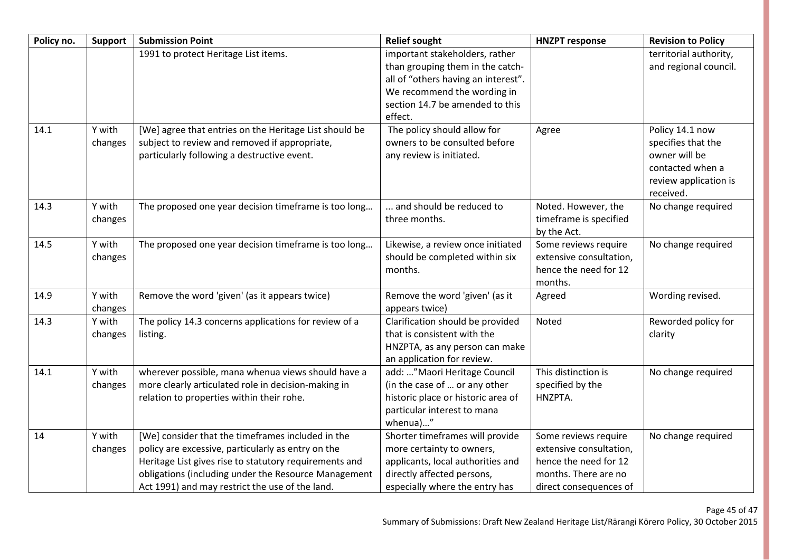| Policy no. | <b>Support</b>    | <b>Submission Point</b>                                                                                                                                                                                                                                                      | <b>Relief sought</b>                                                                                                                                                                   | <b>HNZPT response</b>                                                                                                      | <b>Revision to Policy</b>                                                                                        |
|------------|-------------------|------------------------------------------------------------------------------------------------------------------------------------------------------------------------------------------------------------------------------------------------------------------------------|----------------------------------------------------------------------------------------------------------------------------------------------------------------------------------------|----------------------------------------------------------------------------------------------------------------------------|------------------------------------------------------------------------------------------------------------------|
|            |                   | 1991 to protect Heritage List items.                                                                                                                                                                                                                                         | important stakeholders, rather<br>than grouping them in the catch-<br>all of "others having an interest".<br>We recommend the wording in<br>section 14.7 be amended to this<br>effect. |                                                                                                                            | territorial authority,<br>and regional council.                                                                  |
| 14.1       | Y with<br>changes | [We] agree that entries on the Heritage List should be<br>subject to review and removed if appropriate,<br>particularly following a destructive event.                                                                                                                       | The policy should allow for<br>owners to be consulted before<br>any review is initiated.                                                                                               | Agree                                                                                                                      | Policy 14.1 now<br>specifies that the<br>owner will be<br>contacted when a<br>review application is<br>received. |
| 14.3       | Y with<br>changes | The proposed one year decision timeframe is too long                                                                                                                                                                                                                         | and should be reduced to<br>three months.                                                                                                                                              | Noted. However, the<br>timeframe is specified<br>by the Act.                                                               | No change required                                                                                               |
| 14.5       | Y with<br>changes | The proposed one year decision timeframe is too long                                                                                                                                                                                                                         | Likewise, a review once initiated<br>should be completed within six<br>months.                                                                                                         | Some reviews require<br>extensive consultation,<br>hence the need for 12<br>months.                                        | No change required                                                                                               |
| 14.9       | Y with<br>changes | Remove the word 'given' (as it appears twice)                                                                                                                                                                                                                                | Remove the word 'given' (as it<br>appears twice)                                                                                                                                       | Agreed                                                                                                                     | Wording revised.                                                                                                 |
| 14.3       | Y with<br>changes | The policy 14.3 concerns applications for review of a<br>listing.                                                                                                                                                                                                            | Clarification should be provided<br>that is consistent with the<br>HNZPTA, as any person can make<br>an application for review.                                                        | Noted                                                                                                                      | Reworded policy for<br>clarity                                                                                   |
| 14.1       | Y with<br>changes | wherever possible, mana whenua views should have a<br>more clearly articulated role in decision-making in<br>relation to properties within their rohe.                                                                                                                       | add: "Maori Heritage Council<br>(in the case of  or any other<br>historic place or historic area of<br>particular interest to mana<br>whenua)"                                         | This distinction is<br>specified by the<br>HNZPTA.                                                                         | No change required                                                                                               |
| 14         | Y with<br>changes | [We] consider that the timeframes included in the<br>policy are excessive, particularly as entry on the<br>Heritage List gives rise to statutory requirements and<br>obligations (including under the Resource Management<br>Act 1991) and may restrict the use of the land. | Shorter timeframes will provide<br>more certainty to owners,<br>applicants, local authorities and<br>directly affected persons,<br>especially where the entry has                      | Some reviews require<br>extensive consultation,<br>hence the need for 12<br>months. There are no<br>direct consequences of | No change required                                                                                               |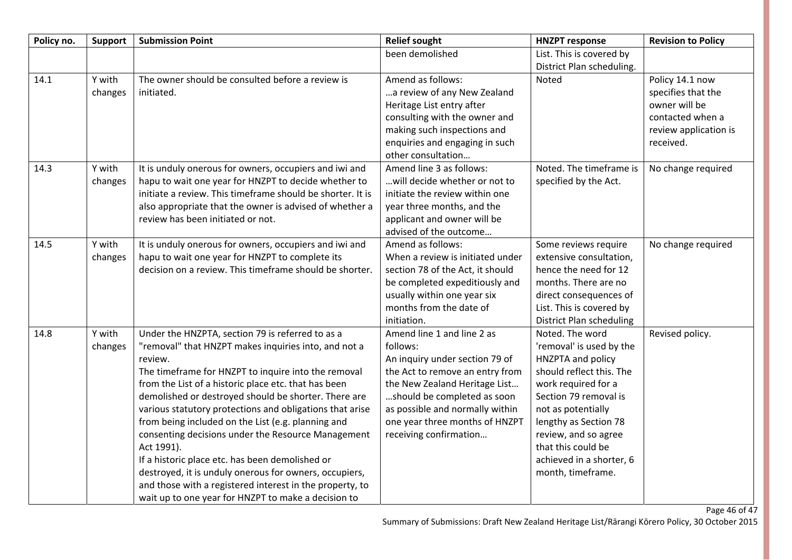| Policy no. | <b>Support</b> | <b>Submission Point</b>                                    | <b>Relief sought</b>             | <b>HNZPT response</b>           | <b>Revision to Policy</b> |
|------------|----------------|------------------------------------------------------------|----------------------------------|---------------------------------|---------------------------|
|            |                |                                                            | been demolished                  | List. This is covered by        |                           |
|            |                |                                                            |                                  | District Plan scheduling.       |                           |
| 14.1       | Y with         | The owner should be consulted before a review is           | Amend as follows:                | Noted                           | Policy 14.1 now           |
|            | changes        | initiated.                                                 | a review of any New Zealand      |                                 | specifies that the        |
|            |                |                                                            | Heritage List entry after        |                                 | owner will be             |
|            |                |                                                            | consulting with the owner and    |                                 | contacted when a          |
|            |                |                                                            | making such inspections and      |                                 | review application is     |
|            |                |                                                            | enquiries and engaging in such   |                                 | received.                 |
|            |                |                                                            | other consultation               |                                 |                           |
| 14.3       | Y with         | It is unduly onerous for owners, occupiers and iwi and     | Amend line 3 as follows:         | Noted. The timeframe is         | No change required        |
|            | changes        | hapu to wait one year for HNZPT to decide whether to       | will decide whether or not to    | specified by the Act.           |                           |
|            |                | initiate a review. This timeframe should be shorter. It is | initiate the review within one   |                                 |                           |
|            |                | also appropriate that the owner is advised of whether a    | year three months, and the       |                                 |                           |
|            |                | review has been initiated or not.                          | applicant and owner will be      |                                 |                           |
|            |                |                                                            | advised of the outcome           |                                 |                           |
| 14.5       | Y with         | It is unduly onerous for owners, occupiers and iwi and     | Amend as follows:                | Some reviews require            | No change required        |
|            | changes        | hapu to wait one year for HNZPT to complete its            | When a review is initiated under | extensive consultation,         |                           |
|            |                | decision on a review. This timeframe should be shorter.    | section 78 of the Act, it should | hence the need for 12           |                           |
|            |                |                                                            | be completed expeditiously and   | months. There are no            |                           |
|            |                |                                                            | usually within one year six      | direct consequences of          |                           |
|            |                |                                                            | months from the date of          | List. This is covered by        |                           |
|            |                |                                                            | initiation.                      | <b>District Plan scheduling</b> |                           |
| 14.8       | Y with         | Under the HNZPTA, section 79 is referred to as a           | Amend line 1 and line 2 as       | Noted. The word                 | Revised policy.           |
|            | changes        | "removal" that HNZPT makes inquiries into, and not a       | follows:                         | 'removal' is used by the        |                           |
|            |                | review.                                                    | An inquiry under section 79 of   | HNZPTA and policy               |                           |
|            |                | The timeframe for HNZPT to inquire into the removal        | the Act to remove an entry from  | should reflect this. The        |                           |
|            |                | from the List of a historic place etc. that has been       | the New Zealand Heritage List    | work required for a             |                           |
|            |                | demolished or destroyed should be shorter. There are       | should be completed as soon      | Section 79 removal is           |                           |
|            |                | various statutory protections and obligations that arise   | as possible and normally within  | not as potentially              |                           |
|            |                | from being included on the List (e.g. planning and         | one year three months of HNZPT   | lengthy as Section 78           |                           |
|            |                | consenting decisions under the Resource Management         | receiving confirmation           | review, and so agree            |                           |
|            |                | Act 1991).                                                 |                                  | that this could be              |                           |
|            |                | If a historic place etc. has been demolished or            |                                  | achieved in a shorter, 6        |                           |
|            |                | destroyed, it is unduly onerous for owners, occupiers,     |                                  | month, timeframe.               |                           |
|            |                | and those with a registered interest in the property, to   |                                  |                                 |                           |
|            |                | wait up to one year for HNZPT to make a decision to        |                                  |                                 |                           |